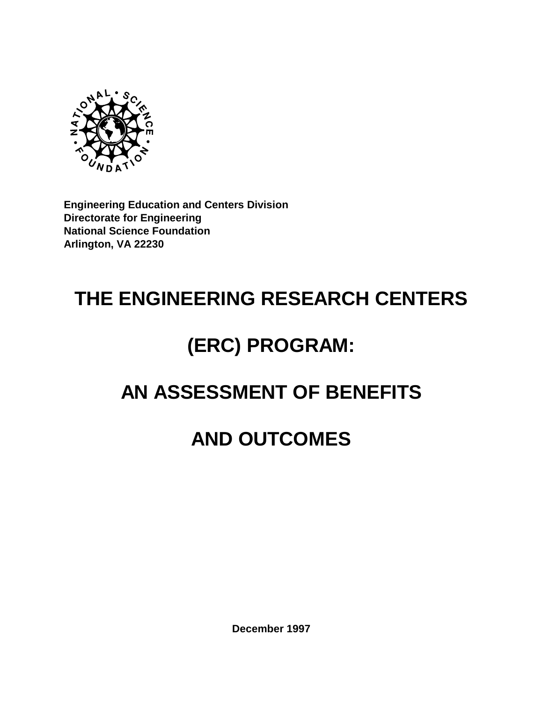

**Engineering Education and Centers Division Directorate for Engineering National Science Foundation Arlington, VA 22230**

# **THE ENGINEERING RESEARCH CENTERS**

# **(ERC) PROGRAM:**

### **AN ASSESSMENT OF BENEFITS**

### **AND OUTCOMES**

**December 1997**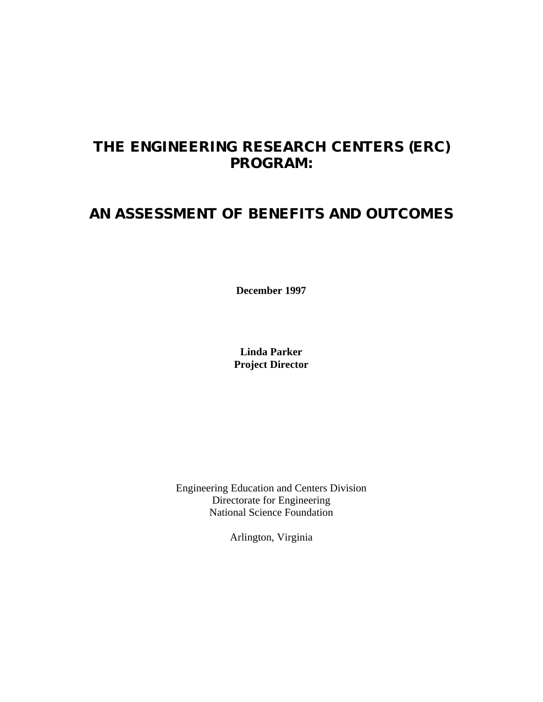### **THE ENGINEERING RESEARCH CENTERS (ERC) PROGRAM:**

### **AN ASSESSMENT OF BENEFITS AND OUTCOMES**

**December 1997**

**Linda Parker Project Director**

Engineering Education and Centers Division Directorate for Engineering National Science Foundation

Arlington, Virginia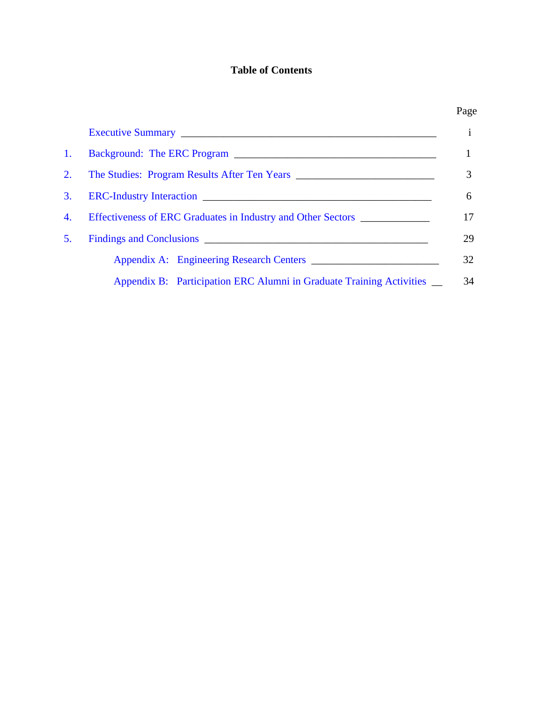#### **Table of Contents**

| 1. |                                                                                  |
|----|----------------------------------------------------------------------------------|
| 2. |                                                                                  |
| 3. |                                                                                  |
| 4. | Effectiveness of ERC Graduates in Industry and Other Sectors ___________________ |
| 5. |                                                                                  |
|    |                                                                                  |
|    | Appendix B: Participation ERC Alumni in Graduate Training Activities __          |

#### Page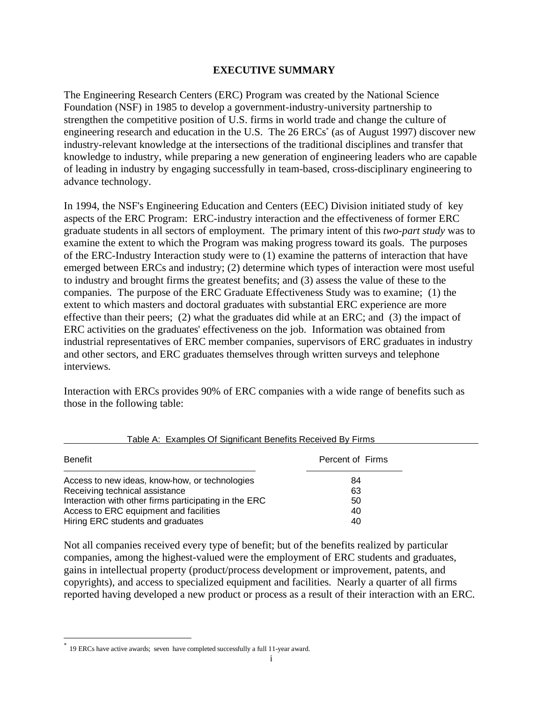#### **EXECUTIVE SUMMARY**

<span id="page-3-0"></span>The Engineering Research Centers (ERC) Program was created by the National Science Foundation (NSF) in 1985 to develop a government-industry-university partnership to strengthen the competitive position of U.S. firms in world trade and change the culture of engineering research and education in the U.S. The 26 ERCs<sup>\*</sup> (as of August 1997) discover new industry-relevant knowledge at the intersections of the traditional disciplines and transfer that knowledge to industry, while preparing a new generation of engineering leaders who are capable of leading in industry by engaging successfully in team-based, cross-disciplinary engineering to advance technology.

In 1994, the NSF's Engineering Education and Centers (EEC) Division initiated study of key aspects of the ERC Program: ERC-industry interaction and the effectiveness of former ERC graduate students in all sectors of employment. The primary intent of this *two-part study* was to examine the extent to which the Program was making progress toward its goals. The purposes of the ERC-Industry Interaction study were to (1) examine the patterns of interaction that have emerged between ERCs and industry; (2) determine which types of interaction were most useful to industry and brought firms the greatest benefits; and (3) assess the value of these to the companies. The purpose of the ERC Graduate Effectiveness Study was to examine; (1) the extent to which masters and doctoral graduates with substantial ERC experience are more effective than their peers; (2) what the graduates did while at an ERC; and (3) the impact of ERC activities on the graduates' effectiveness on the job. Information was obtained from industrial representatives of ERC member companies, supervisors of ERC graduates in industry and other sectors, and ERC graduates themselves through written surveys and telephone interviews.

Interaction with ERCs provides 90% of ERC companies with a wide range of benefits such as those in the following table:

| Benefit                                               | Percent of Firms |
|-------------------------------------------------------|------------------|
| Access to new ideas, know-how, or technologies        | 84               |
| Receiving technical assistance                        | 63               |
| Interaction with other firms participating in the ERC | 50               |
| Access to ERC equipment and facilities                | 40               |
| Hiring ERC students and graduates                     | 40               |

#### Table A: Examples Of Significant Benefits Received By Firms

Not all companies received every type of benefit; but of the benefits realized by particular companies, among the highest-valued were the employment of ERC students and graduates, gains in intellectual property (product/process development or improvement, patents, and copyrights), and access to specialized equipment and facilities. Nearly a quarter of all firms reported having developed a new product or process as a result of their interaction with an ERC.

 $\overline{a}$ 

<sup>\*</sup> 19 ERCs have active awards; seven have completed successfully a full 11-year award.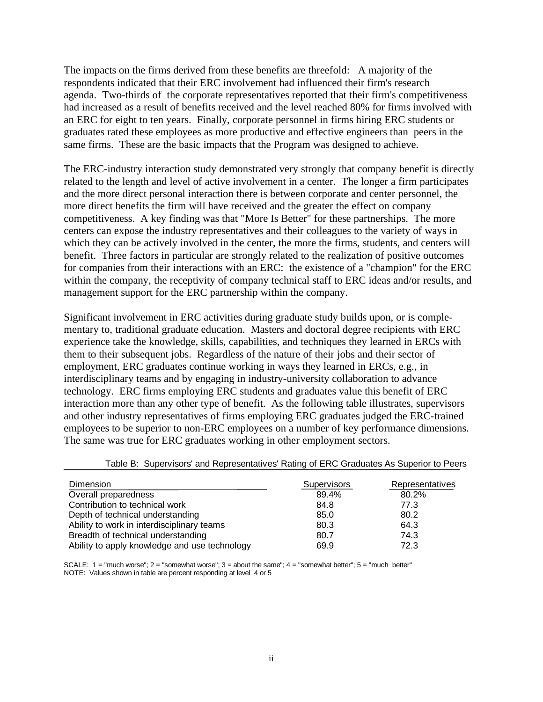The impacts on the firms derived from these benefits are threefold: A majority of the respondents indicated that their ERC involvement had influenced their firm's research agenda. Two-thirds of the corporate representatives reported that their firm's competitiveness had increased as a result of benefits received and the level reached 80% for firms involved with an ERC for eight to ten years. Finally, corporate personnel in firms hiring ERC students or graduates rated these employees as more productive and effective engineers than peers in the same firms. These are the basic impacts that the Program was designed to achieve.

The ERC-industry interaction study demonstrated very strongly that company benefit is directly related to the length and level of active involvement in a center. The longer a firm participates and the more direct personal interaction there is between corporate and center personnel, the more direct benefits the firm will have received and the greater the effect on company competitiveness. A key finding was that "More Is Better" for these partnerships. The more centers can expose the industry representatives and their colleagues to the variety of ways in which they can be actively involved in the center, the more the firms, students, and centers will benefit. Three factors in particular are strongly related to the realization of positive outcomes for companies from their interactions with an ERC: the existence of a "champion" for the ERC within the company, the receptivity of company technical staff to ERC ideas and/or results, and management support for the ERC partnership within the company.

Significant involvement in ERC activities during graduate study builds upon, or is complementary to, traditional graduate education. Masters and doctoral degree recipients with ERC experience take the knowledge, skills, capabilities, and techniques they learned in ERCs with them to their subsequent jobs. Regardless of the nature of their jobs and their sector of employment, ERC graduates continue working in ways they learned in ERCs, e.g., in interdisciplinary teams and by engaging in industry-university collaboration to advance technology. ERC firms employing ERC students and graduates value this benefit of ERC interaction more than any other type of benefit. As the following table illustrates, supervisors and other industry representatives of firms employing ERC graduates judged the ERC-trained employees to be superior to non-ERC employees on a number of key performance dimensions. The same was true for ERC graduates working in other employment sectors.

| <b>Dimension</b>                              | <b>Supervisors</b> | Representatives |
|-----------------------------------------------|--------------------|-----------------|
| Overall preparedness                          | 89.4%              | 80.2%           |
| Contribution to technical work                | 84.8               | 77.3            |
| Depth of technical understanding              | 85.0               | 80.2            |
| Ability to work in interdisciplinary teams    | 80.3               | 64.3            |
| Breadth of technical understanding            | 80.7               | 74.3            |
| Ability to apply knowledge and use technology | 69.9               | 72.3            |

Table B: Supervisors' and Representatives' Rating of ERC Graduates As Superior to Peers

SCALE:  $1 =$  "much worse";  $2 =$  "somewhat worse";  $3 =$  about the same";  $4 =$  "somewhat better";  $5 =$  "much better" NOTE: Values shown in table are percent responding at level 4 or 5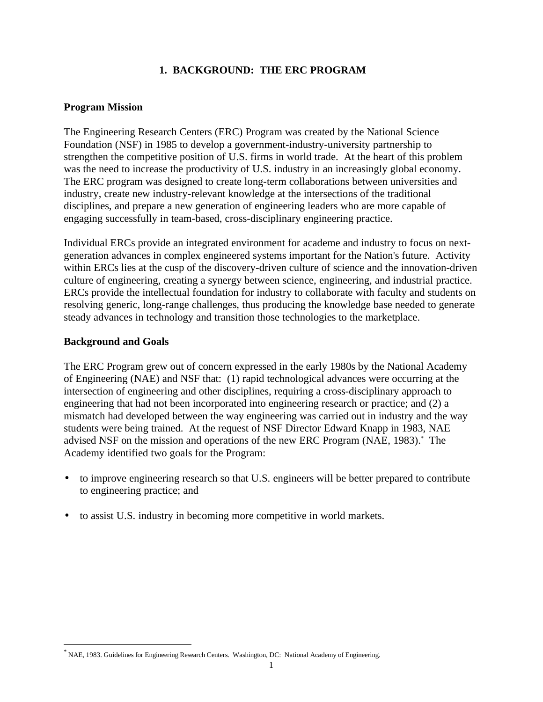#### **1. BACKGROUND: THE ERC PROGRAM**

#### <span id="page-5-0"></span>**Program Mission**

The Engineering Research Centers (ERC) Program was created by the National Science Foundation (NSF) in 1985 to develop a government-industry-university partnership to strengthen the competitive position of U.S. firms in world trade. At the heart of this problem was the need to increase the productivity of U.S. industry in an increasingly global economy. The ERC program was designed to create long-term collaborations between universities and industry, create new industry-relevant knowledge at the intersections of the traditional disciplines, and prepare a new generation of engineering leaders who are more capable of engaging successfully in team-based, cross-disciplinary engineering practice.

Individual ERCs provide an integrated environment for academe and industry to focus on nextgeneration advances in complex engineered systems important for the Nation's future. Activity within ERCs lies at the cusp of the discovery-driven culture of science and the innovation-driven culture of engineering, creating a synergy between science, engineering, and industrial practice. ERCs provide the intellectual foundation for industry to collaborate with faculty and students on resolving generic, long-range challenges, thus producing the knowledge base needed to generate steady advances in technology and transition those technologies to the marketplace.

#### **Background and Goals**

 $\overline{a}$ 

The ERC Program grew out of concern expressed in the early 1980s by the National Academy of Engineering (NAE) and NSF that: (1) rapid technological advances were occurring at the intersection of engineering and other disciplines, requiring a cross-disciplinary approach to engineering that had not been incorporated into engineering research or practice; and (2) a mismatch had developed between the way engineering was carried out in industry and the way students were being trained. At the request of NSF Director Edward Knapp in 1983, NAE advised NSF on the mission and operations of the new ERC Program (NAE, 1983).\* The Academy identified two goals for the Program:

- to improve engineering research so that U.S. engineers will be better prepared to contribute to engineering practice; and
- to assist U.S. industry in becoming more competitive in world markets.

<sup>\*</sup> NAE, 1983. Guidelines for Engineering Research Centers. Washington, DC: National Academy of Engineering.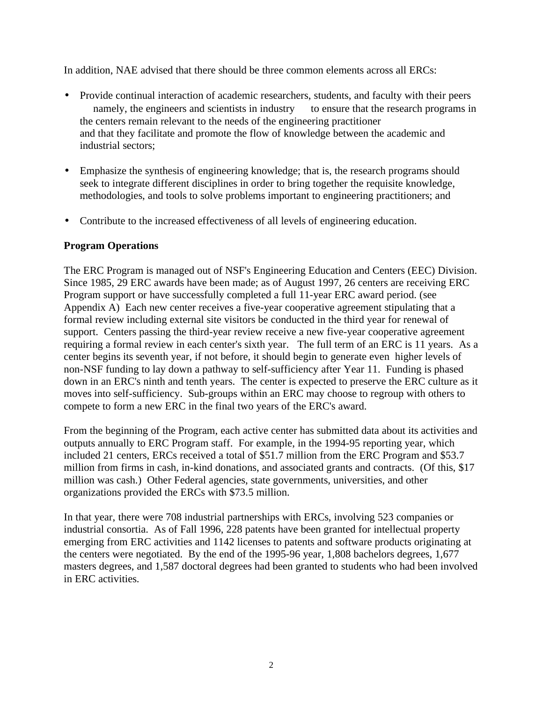In addition, NAE advised that there should be three common elements across all ERCs:

- Provide continual interaction of academic researchers, students, and faculty with their peers - namely, the engineers and scientists in industry — to ensure that the research programs in the centers remain relevant to the needs of the engineering practitioner and that they facilitate and promote the flow of knowledge between the academic and industrial sectors;
- Emphasize the synthesis of engineering knowledge; that is, the research programs should seek to integrate different disciplines in order to bring together the requisite knowledge, methodologies, and tools to solve problems important to engineering practitioners; and
- Contribute to the increased effectiveness of all levels of engineering education.

#### **Program Operations**

The ERC Program is managed out of NSF's Engineering Education and Centers (EEC) Division. Since 1985, 29 ERC awards have been made; as of August 1997, 26 centers are receiving ERC Program support or have successfully completed a full 11-year ERC award period. (see Appendix A) Each new center receives a five-year cooperative agreement stipulating that a formal review including external site visitors be conducted in the third year for renewal of support. Centers passing the third-year review receive a new five-year cooperative agreement requiring a formal review in each center's sixth year. The full term of an ERC is 11 years. As a center begins its seventh year, if not before, it should begin to generate even higher levels of non-NSF funding to lay down a pathway to self-sufficiency after Year 11. Funding is phased down in an ERC's ninth and tenth years. The center is expected to preserve the ERC culture as it moves into self-sufficiency. Sub-groups within an ERC may choose to regroup with others to compete to form a new ERC in the final two years of the ERC's award.

From the beginning of the Program, each active center has submitted data about its activities and outputs annually to ERC Program staff. For example, in the 1994-95 reporting year, which included 21 centers, ERCs received a total of \$51.7 million from the ERC Program and \$53.7 million from firms in cash, in-kind donations, and associated grants and contracts. (Of this, \$17 million was cash.) Other Federal agencies, state governments, universities, and other organizations provided the ERCs with \$73.5 million.

In that year, there were 708 industrial partnerships with ERCs, involving 523 companies or industrial consortia. As of Fall 1996, 228 patents have been granted for intellectual property emerging from ERC activities and 1142 licenses to patents and software products originating at the centers were negotiated. By the end of the 1995-96 year, 1,808 bachelors degrees, 1,677 masters degrees, and 1,587 doctoral degrees had been granted to students who had been involved in ERC activities.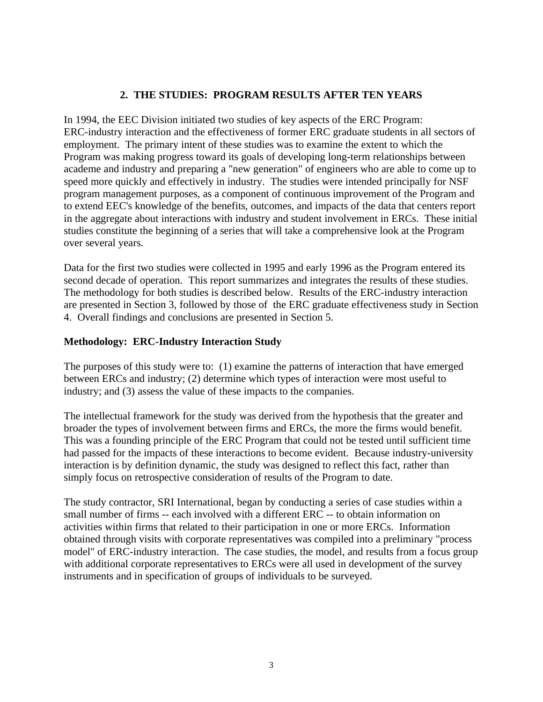#### **2. THE STUDIES: PROGRAM RESULTS AFTER TEN YEARS**

<span id="page-7-0"></span>In 1994, the EEC Division initiated two studies of key aspects of the ERC Program: ERC-industry interaction and the effectiveness of former ERC graduate students in all sectors of employment. The primary intent of these studies was to examine the extent to which the Program was making progress toward its goals of developing long-term relationships between academe and industry and preparing a "new generation" of engineers who are able to come up to speed more quickly and effectively in industry. The studies were intended principally for NSF program management purposes, as a component of continuous improvement of the Program and to extend EEC's knowledge of the benefits, outcomes, and impacts of the data that centers report in the aggregate about interactions with industry and student involvement in ERCs. These initial studies constitute the beginning of a series that will take a comprehensive look at the Program over several years.

Data for the first two studies were collected in 1995 and early 1996 as the Program entered its second decade of operation. This report summarizes and integrates the results of these studies. The methodology for both studies is described below. Results of the ERC-industry interaction are presented in Section 3, followed by those of the ERC graduate effectiveness study in Section 4. Overall findings and conclusions are presented in Section 5.

#### **Methodology: ERC-Industry Interaction Study**

The purposes of this study were to: (1) examine the patterns of interaction that have emerged between ERCs and industry; (2) determine which types of interaction were most useful to industry; and (3) assess the value of these impacts to the companies.

The intellectual framework for the study was derived from the hypothesis that the greater and broader the types of involvement between firms and ERCs, the more the firms would benefit. This was a founding principle of the ERC Program that could not be tested until sufficient time had passed for the impacts of these interactions to become evident. Because industry-university interaction is by definition dynamic, the study was designed to reflect this fact, rather than simply focus on retrospective consideration of results of the Program to date.

The study contractor, SRI International, began by conducting a series of case studies within a small number of firms -- each involved with a different ERC -- to obtain information on activities within firms that related to their participation in one or more ERCs. Information obtained through visits with corporate representatives was compiled into a preliminary "process model" of ERC-industry interaction. The case studies, the model, and results from a focus group with additional corporate representatives to ERCs were all used in development of the survey instruments and in specification of groups of individuals to be surveyed.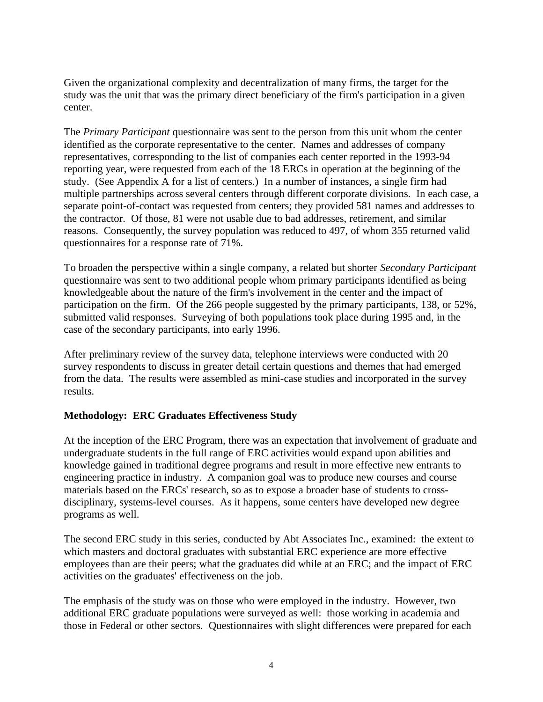Given the organizational complexity and decentralization of many firms, the target for the study was the unit that was the primary direct beneficiary of the firm's participation in a given center.

The *Primary Participant* questionnaire was sent to the person from this unit whom the center identified as the corporate representative to the center. Names and addresses of company representatives, corresponding to the list of companies each center reported in the 1993-94 reporting year, were requested from each of the 18 ERCs in operation at the beginning of the study. (See Appendix A for a list of centers.) In a number of instances, a single firm had multiple partnerships across several centers through different corporate divisions. In each case, a separate point-of-contact was requested from centers; they provided 581 names and addresses to the contractor. Of those, 81 were not usable due to bad addresses, retirement, and similar reasons. Consequently, the survey population was reduced to 497, of whom 355 returned valid questionnaires for a response rate of 71%.

To broaden the perspective within a single company, a related but shorter *Secondary Participant* questionnaire was sent to two additional people whom primary participants identified as being knowledgeable about the nature of the firm's involvement in the center and the impact of participation on the firm. Of the 266 people suggested by the primary participants, 138, or 52%, submitted valid responses. Surveying of both populations took place during 1995 and, in the case of the secondary participants, into early 1996.

After preliminary review of the survey data, telephone interviews were conducted with 20 survey respondents to discuss in greater detail certain questions and themes that had emerged from the data. The results were assembled as mini-case studies and incorporated in the survey results.

#### **Methodology: ERC Graduates Effectiveness Study**

At the inception of the ERC Program, there was an expectation that involvement of graduate and undergraduate students in the full range of ERC activities would expand upon abilities and knowledge gained in traditional degree programs and result in more effective new entrants to engineering practice in industry. A companion goal was to produce new courses and course materials based on the ERCs' research, so as to expose a broader base of students to crossdisciplinary, systems-level courses. As it happens, some centers have developed new degree programs as well.

The second ERC study in this series, conducted by Abt Associates Inc., examined: the extent to which masters and doctoral graduates with substantial ERC experience are more effective employees than are their peers; what the graduates did while at an ERC; and the impact of ERC activities on the graduates' effectiveness on the job.

The emphasis of the study was on those who were employed in the industry. However, two additional ERC graduate populations were surveyed as well: those working in academia and those in Federal or other sectors. Questionnaires with slight differences were prepared for each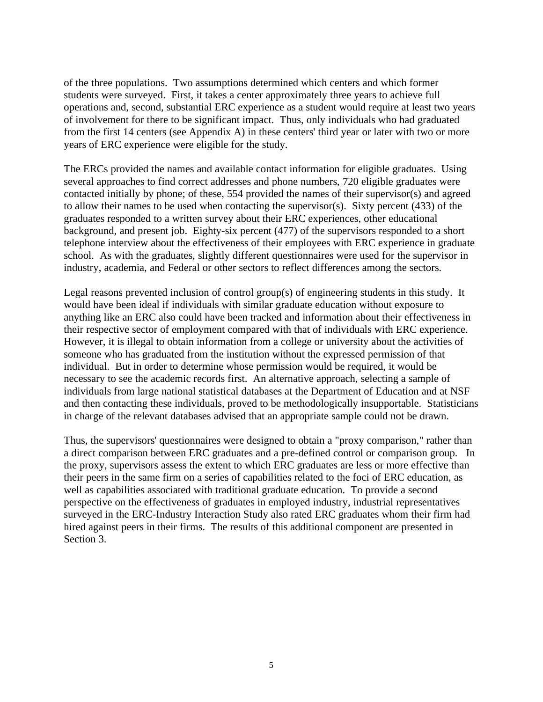of the three populations. Two assumptions determined which centers and which former students were surveyed. First, it takes a center approximately three years to achieve full operations and, second, substantial ERC experience as a student would require at least two years of involvement for there to be significant impact. Thus, only individuals who had graduated from the first 14 centers (see Appendix A) in these centers' third year or later with two or more years of ERC experience were eligible for the study.

The ERCs provided the names and available contact information for eligible graduates. Using several approaches to find correct addresses and phone numbers, 720 eligible graduates were contacted initially by phone; of these, 554 provided the names of their supervisor(s) and agreed to allow their names to be used when contacting the supervisor(s). Sixty percent (433) of the graduates responded to a written survey about their ERC experiences, other educational background, and present job. Eighty-six percent (477) of the supervisors responded to a short telephone interview about the effectiveness of their employees with ERC experience in graduate school. As with the graduates, slightly different questionnaires were used for the supervisor in industry, academia, and Federal or other sectors to reflect differences among the sectors.

Legal reasons prevented inclusion of control group(s) of engineering students in this study. It would have been ideal if individuals with similar graduate education without exposure to anything like an ERC also could have been tracked and information about their effectiveness in their respective sector of employment compared with that of individuals with ERC experience. However, it is illegal to obtain information from a college or university about the activities of someone who has graduated from the institution without the expressed permission of that individual. But in order to determine whose permission would be required, it would be necessary to see the academic records first. An alternative approach, selecting a sample of individuals from large national statistical databases at the Department of Education and at NSF and then contacting these individuals, proved to be methodologically insupportable. Statisticians in charge of the relevant databases advised that an appropriate sample could not be drawn.

Thus, the supervisors' questionnaires were designed to obtain a "proxy comparison," rather than a direct comparison between ERC graduates and a pre-defined control or comparison group. In the proxy, supervisors assess the extent to which ERC graduates are less or more effective than their peers in the same firm on a series of capabilities related to the foci of ERC education, as well as capabilities associated with traditional graduate education. To provide a second perspective on the effectiveness of graduates in employed industry, industrial representatives surveyed in the ERC-Industry Interaction Study also rated ERC graduates whom their firm had hired against peers in their firms. The results of this additional component are presented in Section 3.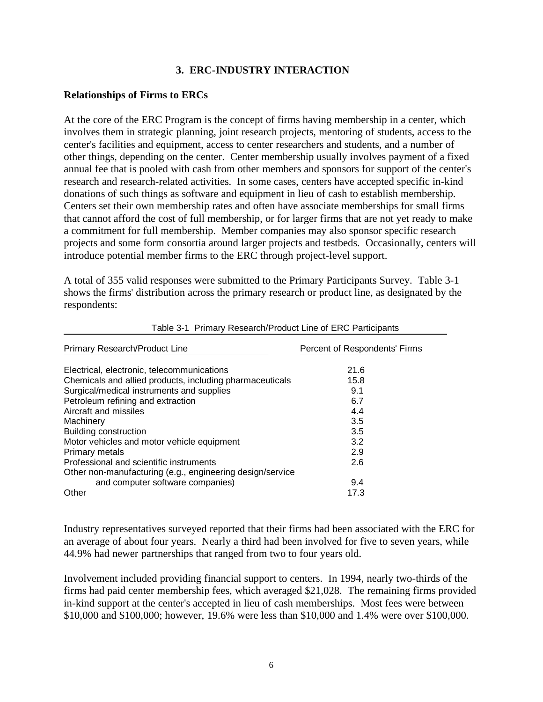#### **3. ERC-INDUSTRY INTERACTION**

#### <span id="page-10-0"></span>**Relationships of Firms to ERCs**

At the core of the ERC Program is the concept of firms having membership in a center, which involves them in strategic planning, joint research projects, mentoring of students, access to the center's facilities and equipment, access to center researchers and students, and a number of other things, depending on the center. Center membership usually involves payment of a fixed annual fee that is pooled with cash from other members and sponsors for support of the center's research and research-related activities. In some cases, centers have accepted specific in-kind donations of such things as software and equipment in lieu of cash to establish membership. Centers set their own membership rates and often have associate memberships for small firms that cannot afford the cost of full membership, or for larger firms that are not yet ready to make a commitment for full membership. Member companies may also sponsor specific research projects and some form consortia around larger projects and testbeds. Occasionally, centers will introduce potential member firms to the ERC through project-level support.

A total of 355 valid responses were submitted to the Primary Participants Survey. Table 3-1 shows the firms' distribution across the primary research or product line, as designated by the respondents:

| Primary Research/Product Line                             | Percent of Respondents' Firms |
|-----------------------------------------------------------|-------------------------------|
| Electrical, electronic, telecommunications                | 21.6                          |
| Chemicals and allied products, including pharmaceuticals  | 15.8                          |
| Surgical/medical instruments and supplies                 | 9.1                           |
| Petroleum refining and extraction                         | 6.7                           |
| Aircraft and missiles                                     | 4.4                           |
| Machinery                                                 | 3.5                           |
| Building construction                                     | 3.5                           |
| Motor vehicles and motor vehicle equipment                | 3.2                           |
| Primary metals                                            | 2.9                           |
| Professional and scientific instruments                   | 2.6                           |
| Other non-manufacturing (e.g., engineering design/service |                               |
| and computer software companies)                          | 9.4                           |
| Other                                                     | 17.3                          |

Table 3-1 Primary Research/Product Line of ERC Participants

Industry representatives surveyed reported that their firms had been associated with the ERC for an average of about four years. Nearly a third had been involved for five to seven years, while 44.9% had newer partnerships that ranged from two to four years old.

Involvement included providing financial support to centers. In 1994, nearly two-thirds of the firms had paid center membership fees, which averaged \$21,028. The remaining firms provided in-kind support at the center's accepted in lieu of cash memberships. Most fees were between \$10,000 and \$100,000; however, 19.6% were less than \$10,000 and 1.4% were over \$100,000.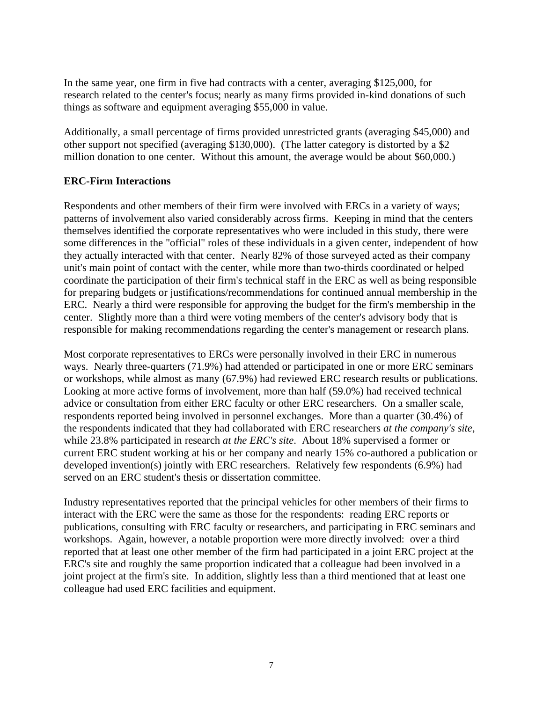In the same year, one firm in five had contracts with a center, averaging \$125,000, for research related to the center's focus; nearly as many firms provided in-kind donations of such things as software and equipment averaging \$55,000 in value.

Additionally, a small percentage of firms provided unrestricted grants (averaging \$45,000) and other support not specified (averaging \$130,000). (The latter category is distorted by a \$2 million donation to one center. Without this amount, the average would be about \$60,000.)

#### **ERC-Firm Interactions**

Respondents and other members of their firm were involved with ERCs in a variety of ways; patterns of involvement also varied considerably across firms. Keeping in mind that the centers themselves identified the corporate representatives who were included in this study, there were some differences in the "official" roles of these individuals in a given center, independent of how they actually interacted with that center. Nearly 82% of those surveyed acted as their company unit's main point of contact with the center, while more than two-thirds coordinated or helped coordinate the participation of their firm's technical staff in the ERC as well as being responsible for preparing budgets or justifications/recommendations for continued annual membership in the ERC. Nearly a third were responsible for approving the budget for the firm's membership in the center. Slightly more than a third were voting members of the center's advisory body that is responsible for making recommendations regarding the center's management or research plans.

Most corporate representatives to ERCs were personally involved in their ERC in numerous ways. Nearly three-quarters (71.9%) had attended or participated in one or more ERC seminars or workshops, while almost as many (67.9%) had reviewed ERC research results or publications. Looking at more active forms of involvement, more than half (59.0%) had received technical advice or consultation from either ERC faculty or other ERC researchers. On a smaller scale, respondents reported being involved in personnel exchanges. More than a quarter (30.4%) of the respondents indicated that they had collaborated with ERC researchers *at the company's site*, while 23.8% participated in research *at the ERC's site*. About 18% supervised a former or current ERC student working at his or her company and nearly 15% co-authored a publication or developed invention(s) jointly with ERC researchers. Relatively few respondents (6.9%) had served on an ERC student's thesis or dissertation committee.

Industry representatives reported that the principal vehicles for other members of their firms to interact with the ERC were the same as those for the respondents: reading ERC reports or publications, consulting with ERC faculty or researchers, and participating in ERC seminars and workshops. Again, however, a notable proportion were more directly involved: over a third reported that at least one other member of the firm had participated in a joint ERC project at the ERC's site and roughly the same proportion indicated that a colleague had been involved in a joint project at the firm's site. In addition, slightly less than a third mentioned that at least one colleague had used ERC facilities and equipment.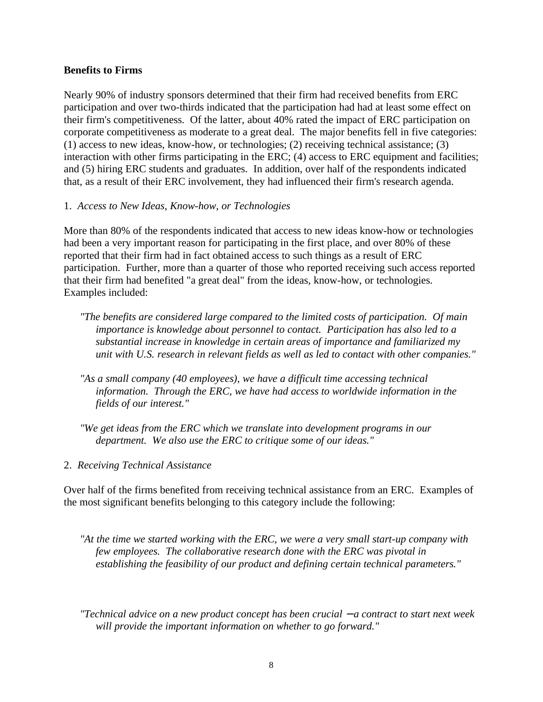#### **Benefits to Firms**

Nearly 90% of industry sponsors determined that their firm had received benefits from ERC participation and over two-thirds indicated that the participation had had at least some effect on their firm's competitiveness. Of the latter, about 40% rated the impact of ERC participation on corporate competitiveness as moderate to a great deal. The major benefits fell in five categories: (1) access to new ideas, know-how, or technologies; (2) receiving technical assistance; (3) interaction with other firms participating in the ERC; (4) access to ERC equipment and facilities; and (5) hiring ERC students and graduates. In addition, over half of the respondents indicated that, as a result of their ERC involvement, they had influenced their firm's research agenda.

#### 1. *Access to New Ideas, Know-how, or Technologies*

More than 80% of the respondents indicated that access to new ideas know-how or technologies had been a very important reason for participating in the first place, and over 80% of these reported that their firm had in fact obtained access to such things as a result of ERC participation. Further, more than a quarter of those who reported receiving such access reported that their firm had benefited "a great deal" from the ideas, know-how, or technologies. Examples included:

- *"The benefits are considered large compared to the limited costs of participation. Of main importance is knowledge about personnel to contact. Participation has also led to a substantial increase in knowledge in certain areas of importance and familiarized my unit with U.S. research in relevant fields as well as led to contact with other companies."*
- *"As a small company (40 employees), we have a difficult time accessing technical information. Through the ERC, we have had access to worldwide information in the fields of our interest."*
- *"We get ideas from the ERC which we translate into development programs in our department. We also use the ERC to critique some of our ideas."*
- 2. *Receiving Technical Assistance*

Over half of the firms benefited from receiving technical assistance from an ERC. Examples of the most significant benefits belonging to this category include the following:

- *"At the time we started working with the ERC, we were a very small start-up company with few employees. The collaborative research done with the ERC was pivotal in establishing the feasibility of our product and defining certain technical parameters."*
- *"Technical advice on a new product concept has been crucial − a contract to start next week will provide the important information on whether to go forward."*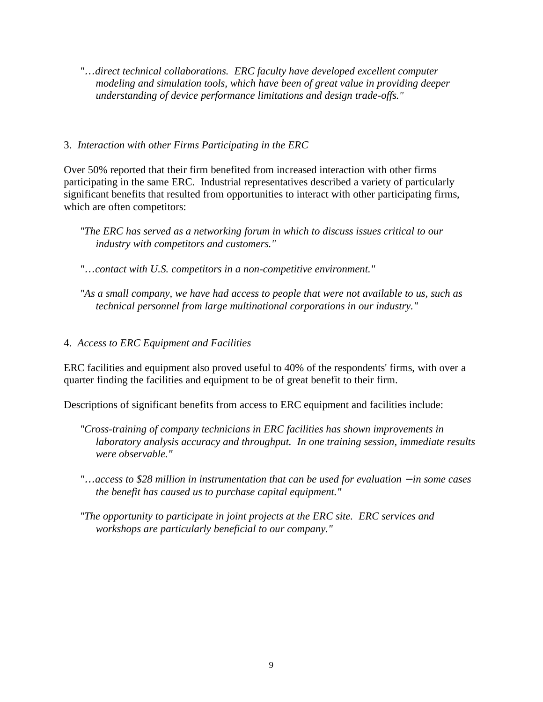*"*…*direct technical collaborations. ERC faculty have developed excellent computer modeling and simulation tools, which have been of great value in providing deeper understanding of device performance limitations and design trade-offs."*

#### 3. *Interaction with other Firms Participating in the ERC*

Over 50% reported that their firm benefited from increased interaction with other firms participating in the same ERC. Industrial representatives described a variety of particularly significant benefits that resulted from opportunities to interact with other participating firms, which are often competitors:

- *"*…*contact with U.S. competitors in a non-competitive environment."*
- *"As a small company, we have had access to people that were not available to us, such as technical personnel from large multinational corporations in our industry."*

#### 4. *Access to ERC Equipment and Facilities*

ERC facilities and equipment also proved useful to 40% of the respondents' firms, with over a quarter finding the facilities and equipment to be of great benefit to their firm.

Descriptions of significant benefits from access to ERC equipment and facilities include:

- *"Cross-training of company technicians in ERC facilities has shown improvements in laboratory analysis accuracy and throughput. In one training session, immediate results were observable."*
- *"*…*access to \$28 million in instrumentation that can be used for evaluation* − *in some cases the benefit has caused us to purchase capital equipment."*
- *"The opportunity to participate in joint projects at the ERC site. ERC services and workshops are particularly beneficial to our company."*

*<sup>&</sup>quot;The ERC has served as a networking forum in which to discuss issues critical to our industry with competitors and customers."*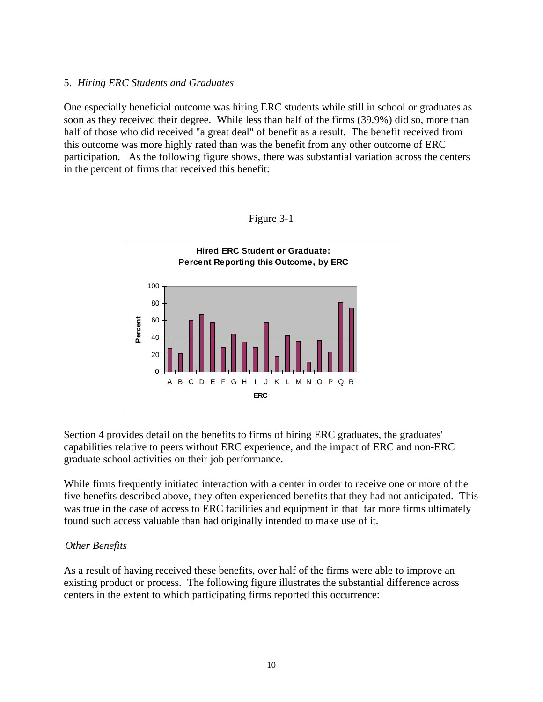#### 5. *Hiring ERC Students and Graduates*

One especially beneficial outcome was hiring ERC students while still in school or graduates as soon as they received their degree. While less than half of the firms (39.9%) did so, more than half of those who did received "a great deal" of benefit as a result. The benefit received from this outcome was more highly rated than was the benefit from any other outcome of ERC participation. As the following figure shows, there was substantial variation across the centers in the percent of firms that received this benefit:





Section 4 provides detail on the benefits to firms of hiring ERC graduates, the graduates' capabilities relative to peers without ERC experience, and the impact of ERC and non-ERC graduate school activities on their job performance.

While firms frequently initiated interaction with a center in order to receive one or more of the five benefits described above, they often experienced benefits that they had not anticipated. This was true in the case of access to ERC facilities and equipment in that far more firms ultimately found such access valuable than had originally intended to make use of it.

#### *Other Benefits*

As a result of having received these benefits, over half of the firms were able to improve an existing product or process. The following figure illustrates the substantial difference across centers in the extent to which participating firms reported this occurrence: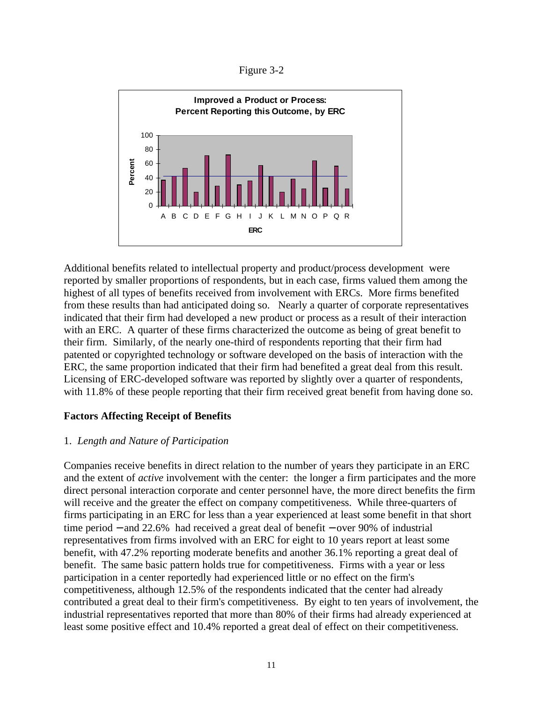Figure 3-2



Additional benefits related to intellectual property and product/process development were reported by smaller proportions of respondents, but in each case, firms valued them among the highest of all types of benefits received from involvement with ERCs. More firms benefited from these results than had anticipated doing so. Nearly a quarter of corporate representatives indicated that their firm had developed a new product or process as a result of their interaction with an ERC. A quarter of these firms characterized the outcome as being of great benefit to their firm. Similarly, of the nearly one-third of respondents reporting that their firm had patented or copyrighted technology or software developed on the basis of interaction with the ERC, the same proportion indicated that their firm had benefited a great deal from this result. Licensing of ERC-developed software was reported by slightly over a quarter of respondents, with 11.8% of these people reporting that their firm received great benefit from having done so.

#### **Factors Affecting Receipt of Benefits**

#### 1. *Length and Nature of Participation*

Companies receive benefits in direct relation to the number of years they participate in an ERC and the extent of *active* involvement with the center: the longer a firm participates and the more direct personal interaction corporate and center personnel have, the more direct benefits the firm will receive and the greater the effect on company competitiveness. While three-quarters of firms participating in an ERC for less than a year experienced at least some benefit in that short time period − and 22.6% had received a great deal of benefit − over 90% of industrial representatives from firms involved with an ERC for eight to 10 years report at least some benefit, with 47.2% reporting moderate benefits and another 36.1% reporting a great deal of benefit. The same basic pattern holds true for competitiveness. Firms with a year or less participation in a center reportedly had experienced little or no effect on the firm's competitiveness, although 12.5% of the respondents indicated that the center had already contributed a great deal to their firm's competitiveness. By eight to ten years of involvement, the industrial representatives reported that more than 80% of their firms had already experienced at least some positive effect and 10.4% reported a great deal of effect on their competitiveness.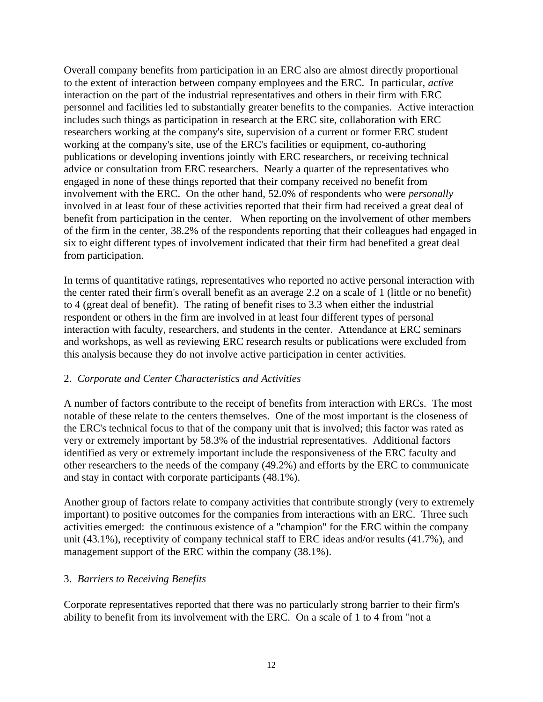Overall company benefits from participation in an ERC also are almost directly proportional to the extent of interaction between company employees and the ERC. In particular, *active* interaction on the part of the industrial representatives and others in their firm with ERC personnel and facilities led to substantially greater benefits to the companies. Active interaction includes such things as participation in research at the ERC site, collaboration with ERC researchers working at the company's site, supervision of a current or former ERC student working at the company's site, use of the ERC's facilities or equipment, co-authoring publications or developing inventions jointly with ERC researchers, or receiving technical advice or consultation from ERC researchers. Nearly a quarter of the representatives who engaged in none of these things reported that their company received no benefit from involvement with the ERC. On the other hand, 52.0% of respondents who were *personally* involved in at least four of these activities reported that their firm had received a great deal of benefit from participation in the center. When reporting on the involvement of other members of the firm in the center, 38.2% of the respondents reporting that their colleagues had engaged in six to eight different types of involvement indicated that their firm had benefited a great deal from participation.

In terms of quantitative ratings, representatives who reported no active personal interaction with the center rated their firm's overall benefit as an average 2.2 on a scale of 1 (little or no benefit) to 4 (great deal of benefit). The rating of benefit rises to 3.3 when either the industrial respondent or others in the firm are involved in at least four different types of personal interaction with faculty, researchers, and students in the center. Attendance at ERC seminars and workshops, as well as reviewing ERC research results or publications were excluded from this analysis because they do not involve active participation in center activities.

#### 2. *Corporate and Center Characteristics and Activities*

A number of factors contribute to the receipt of benefits from interaction with ERCs. The most notable of these relate to the centers themselves. One of the most important is the closeness of the ERC's technical focus to that of the company unit that is involved; this factor was rated as very or extremely important by 58.3% of the industrial representatives. Additional factors identified as very or extremely important include the responsiveness of the ERC faculty and other researchers to the needs of the company (49.2%) and efforts by the ERC to communicate and stay in contact with corporate participants (48.1%).

Another group of factors relate to company activities that contribute strongly (very to extremely important) to positive outcomes for the companies from interactions with an ERC. Three such activities emerged: the continuous existence of a "champion" for the ERC within the company unit (43.1%), receptivity of company technical staff to ERC ideas and/or results (41.7%), and management support of the ERC within the company (38.1%).

#### 3. *Barriers to Receiving Benefits*

Corporate representatives reported that there was no particularly strong barrier to their firm's ability to benefit from its involvement with the ERC. On a scale of 1 to 4 from "not a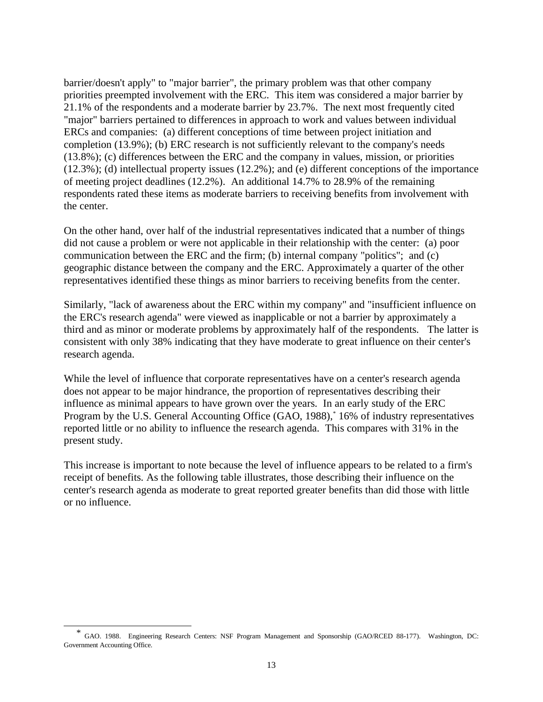barrier/doesn't apply" to "major barrier", the primary problem was that other company priorities preempted involvement with the ERC. This item was considered a major barrier by 21.1% of the respondents and a moderate barrier by 23.7%. The next most frequently cited "major" barriers pertained to differences in approach to work and values between individual ERCs and companies: (a) different conceptions of time between project initiation and completion (13.9%); (b) ERC research is not sufficiently relevant to the company's needs (13.8%); (c) differences between the ERC and the company in values, mission, or priorities (12.3%); (d) intellectual property issues (12.2%); and (e) different conceptions of the importance of meeting project deadlines (12.2%). An additional 14.7% to 28.9% of the remaining respondents rated these items as moderate barriers to receiving benefits from involvement with the center.

On the other hand, over half of the industrial representatives indicated that a number of things did not cause a problem or were not applicable in their relationship with the center: (a) poor communication between the ERC and the firm; (b) internal company "politics"; and (c) geographic distance between the company and the ERC. Approximately a quarter of the other representatives identified these things as minor barriers to receiving benefits from the center.

Similarly, "lack of awareness about the ERC within my company" and "insufficient influence on the ERC's research agenda" were viewed as inapplicable or not a barrier by approximately a third and as minor or moderate problems by approximately half of the respondents. The latter is consistent with only 38% indicating that they have moderate to great influence on their center's research agenda.

While the level of influence that corporate representatives have on a center's research agenda does not appear to be major hindrance, the proportion of representatives describing their influence as minimal appears to have grown over the years. In an early study of the ERC Program by the U.S. General Accounting Office (GAO, 1988),<sup>\*</sup> 16% of industry representatives reported little or no ability to influence the research agenda. This compares with 31% in the present study.

This increase is important to note because the level of influence appears to be related to a firm's receipt of benefits. As the following table illustrates, those describing their influence on the center's research agenda as moderate to great reported greater benefits than did those with little or no influence.

 $\overline{a}$ 

\* GAO. 1988. Engineering Research Centers: NSF Program Management and Sponsorship (GAO/RCED 88-177). Washington, DC: Government Accounting Office.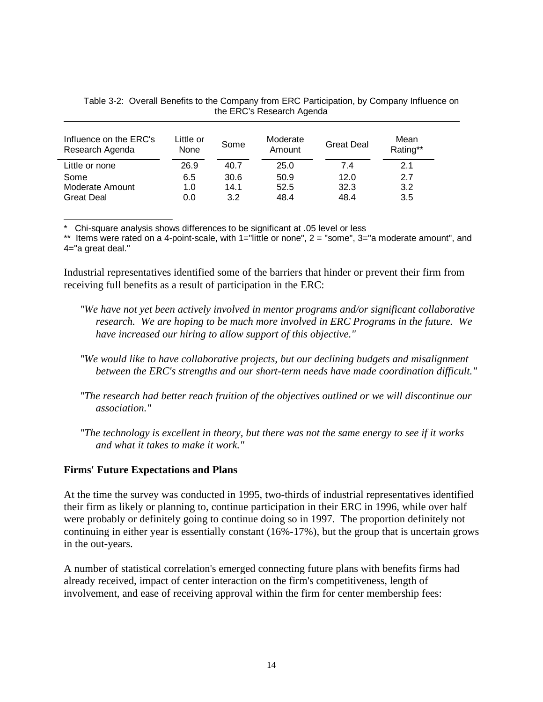| Influence on the ERC's<br>Research Agenda | Little or<br>None | Some | Moderate<br>Amount | <b>Great Deal</b> | Mean<br>Rating** |
|-------------------------------------------|-------------------|------|--------------------|-------------------|------------------|
| Little or none                            | 26.9              | 40.7 | 25.0               | 7.4               | 2.1              |
| Some                                      | 6.5               | 30.6 | 50.9               | 12.0              | 2.7              |
| Moderate Amount                           | 1.0               | 14.1 | 52.5               | 32.3              | 3.2              |
| <b>Great Deal</b>                         | 0.0               | 3.2  | 48.4               | 48.4              | 3.5              |

Table 3-2: Overall Benefits to the Company from ERC Participation, by Company Influence on the ERC's Research Agenda

\* Chi-square analysis shows differences to be significant at .05 level or less

\*\* Items were rated on a 4-point-scale, with 1="little or none", 2 = "some", 3="a moderate amount", and 4="a great deal."

Industrial representatives identified some of the barriers that hinder or prevent their firm from receiving full benefits as a result of participation in the ERC:

- *"We have not yet been actively involved in mentor programs and/or significant collaborative research. We are hoping to be much more involved in ERC Programs in the future. We have increased our hiring to allow support of this objective."*
- *"We would like to have collaborative projects, but our declining budgets and misalignment between the ERC's strengths and our short-term needs have made coordination difficult."*
- *"The research had better reach fruition of the objectives outlined or we will discontinue our association."*
- *"The technology is excellent in theory, but there was not the same energy to see if it works and what it takes to make it work."*

#### **Firms' Future Expectations and Plans**

At the time the survey was conducted in 1995, two-thirds of industrial representatives identified their firm as likely or planning to, continue participation in their ERC in 1996, while over half were probably or definitely going to continue doing so in 1997. The proportion definitely not continuing in either year is essentially constant (16%-17%), but the group that is uncertain grows in the out-years.

A number of statistical correlation's emerged connecting future plans with benefits firms had already received, impact of center interaction on the firm's competitiveness, length of involvement, and ease of receiving approval within the firm for center membership fees: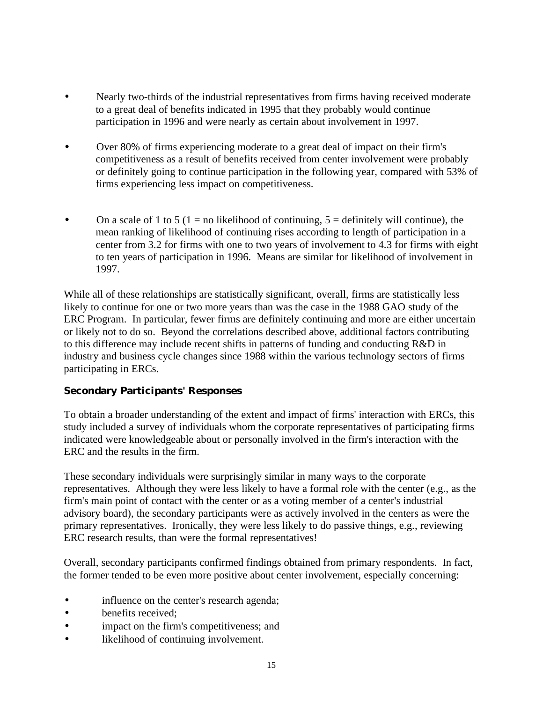- Nearly two-thirds of the industrial representatives from firms having received moderate to a great deal of benefits indicated in 1995 that they probably would continue participation in 1996 and were nearly as certain about involvement in 1997.
- Over 80% of firms experiencing moderate to a great deal of impact on their firm's competitiveness as a result of benefits received from center involvement were probably or definitely going to continue participation in the following year, compared with 53% of firms experiencing less impact on competitiveness.
- On a scale of 1 to 5 (1 = no likelihood of continuing,  $5 =$  definitely will continue), the mean ranking of likelihood of continuing rises according to length of participation in a center from 3.2 for firms with one to two years of involvement to 4.3 for firms with eight to ten years of participation in 1996. Means are similar for likelihood of involvement in 1997.

While all of these relationships are statistically significant, overall, firms are statistically less likely to continue for one or two more years than was the case in the 1988 GAO study of the ERC Program. In particular, fewer firms are definitely continuing and more are either uncertain or likely not to do so. Beyond the correlations described above, additional factors contributing to this difference may include recent shifts in patterns of funding and conducting R&D in industry and business cycle changes since 1988 within the various technology sectors of firms participating in ERCs.

#### **Secondary Participants' Responses**

To obtain a broader understanding of the extent and impact of firms' interaction with ERCs, this study included a survey of individuals whom the corporate representatives of participating firms indicated were knowledgeable about or personally involved in the firm's interaction with the ERC and the results in the firm.

These secondary individuals were surprisingly similar in many ways to the corporate representatives. Although they were less likely to have a formal role with the center (e.g., as the firm's main point of contact with the center or as a voting member of a center's industrial advisory board), the secondary participants were as actively involved in the centers as were the primary representatives. Ironically, they were less likely to do passive things, e.g., reviewing ERC research results, than were the formal representatives!

Overall, secondary participants confirmed findings obtained from primary respondents. In fact, the former tended to be even more positive about center involvement, especially concerning:

- influence on the center's research agenda;
- benefits received:
- impact on the firm's competitiveness; and
- likelihood of continuing involvement.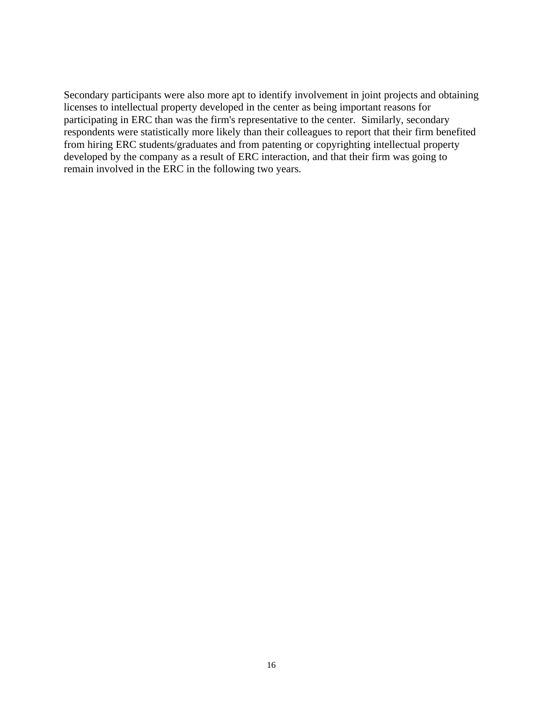Secondary participants were also more apt to identify involvement in joint projects and obtaining licenses to intellectual property developed in the center as being important reasons for participating in ERC than was the firm's representative to the center. Similarly, secondary respondents were statistically more likely than their colleagues to report that their firm benefited from hiring ERC students/graduates and from patenting or copyrighting intellectual property developed by the company as a result of ERC interaction, and that their firm was going to remain involved in the ERC in the following two years.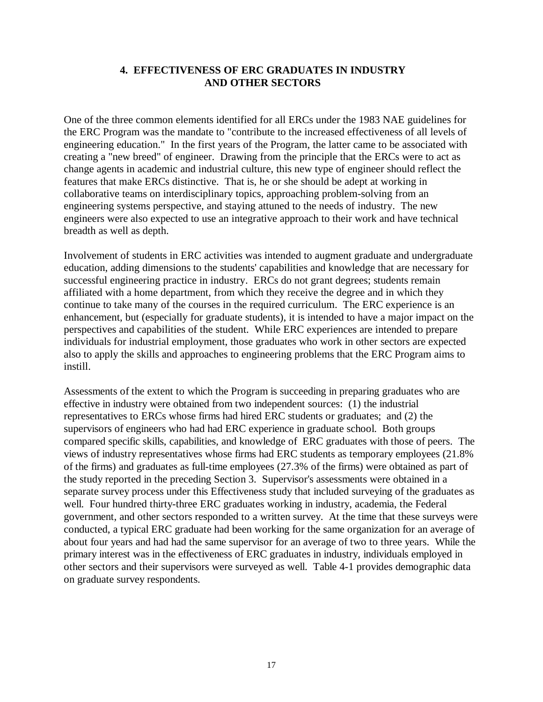#### **4. EFFECTIVENESS OF ERC GRADUATES IN INDUSTRY AND OTHER SECTORS**

<span id="page-21-0"></span>One of the three common elements identified for all ERCs under the 1983 NAE guidelines for the ERC Program was the mandate to "contribute to the increased effectiveness of all levels of engineering education." In the first years of the Program, the latter came to be associated with creating a "new breed" of engineer. Drawing from the principle that the ERCs were to act as change agents in academic and industrial culture, this new type of engineer should reflect the features that make ERCs distinctive. That is, he or she should be adept at working in collaborative teams on interdisciplinary topics, approaching problem-solving from an engineering systems perspective, and staying attuned to the needs of industry. The new engineers were also expected to use an integrative approach to their work and have technical breadth as well as depth.

Involvement of students in ERC activities was intended to augment graduate and undergraduate education, adding dimensions to the students' capabilities and knowledge that are necessary for successful engineering practice in industry. ERCs do not grant degrees; students remain affiliated with a home department, from which they receive the degree and in which they continue to take many of the courses in the required curriculum. The ERC experience is an enhancement, but (especially for graduate students), it is intended to have a major impact on the perspectives and capabilities of the student. While ERC experiences are intended to prepare individuals for industrial employment, those graduates who work in other sectors are expected also to apply the skills and approaches to engineering problems that the ERC Program aims to instill.

Assessments of the extent to which the Program is succeeding in preparing graduates who are effective in industry were obtained from two independent sources: (1) the industrial representatives to ERCs whose firms had hired ERC students or graduates; and (2) the supervisors of engineers who had had ERC experience in graduate school. Both groups compared specific skills, capabilities, and knowledge of ERC graduates with those of peers. The views of industry representatives whose firms had ERC students as temporary employees (21.8% of the firms) and graduates as full-time employees (27.3% of the firms) were obtained as part of the study reported in the preceding Section 3. Supervisor's assessments were obtained in a separate survey process under this Effectiveness study that included surveying of the graduates as well. Four hundred thirty-three ERC graduates working in industry, academia, the Federal government, and other sectors responded to a written survey. At the time that these surveys were conducted, a typical ERC graduate had been working for the same organization for an average of about four years and had had the same supervisor for an average of two to three years. While the primary interest was in the effectiveness of ERC graduates in industry, individuals employed in other sectors and their supervisors were surveyed as well. Table 4-1 provides demographic data on graduate survey respondents.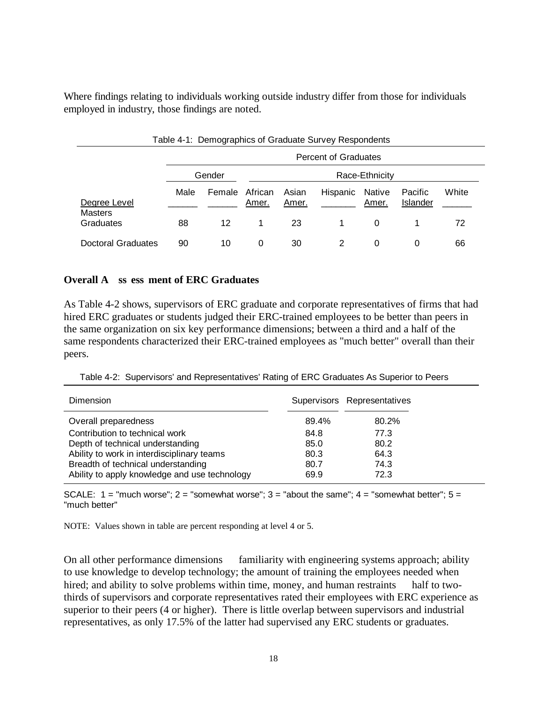Where findings relating to individuals working outside industry differ from those for individuals employed in industry, those findings are noted.

|                                |      |        |                  |                | Table 4-1: Demographics or Graduate Survey Respondents |                        |                     |       |
|--------------------------------|------|--------|------------------|----------------|--------------------------------------------------------|------------------------|---------------------|-------|
|                                |      |        |                  |                | Percent of Graduates                                   |                        |                     |       |
|                                |      | Gender |                  |                |                                                        | Race-Ethnicity         |                     |       |
| Degree Level<br><b>Masters</b> | Male | Female | African<br>Amer. | Asian<br>Amer. | Hispanic                                               | <b>Native</b><br>Amer. | Pacific<br>Islander | White |
| Graduates                      | 88   | 12     | 1                | 23             |                                                        | 0                      |                     | 72    |
| <b>Doctoral Graduates</b>      | 90   | 10     | 0                | 30             | 2                                                      | 0                      | O                   | 66    |

#### Table 4-1: Demographics of Graduate Survey Respondents

#### **Overall A ss ess ment of ERC Graduates**

As Table 4-2 shows, supervisors of ERC graduate and corporate representatives of firms that had hired ERC graduates or students judged their ERC-trained employees to be better than peers in the same organization on six key performance dimensions; between a third and a half of the same respondents characterized their ERC-trained employees as "much better" overall than their peers.

|  |  | Table 4-2: Supervisors' and Representatives' Rating of ERC Graduates As Superior to Peers |  |  |  |
|--|--|-------------------------------------------------------------------------------------------|--|--|--|
|--|--|-------------------------------------------------------------------------------------------|--|--|--|

| Dimension                                     |       | Supervisors Representatives |
|-----------------------------------------------|-------|-----------------------------|
| Overall preparedness                          | 89.4% | 80.2%                       |
| Contribution to technical work                | 84.8  | 77.3                        |
| Depth of technical understanding              | 85.0  | 80.2                        |
| Ability to work in interdisciplinary teams    | 80.3  | 64.3                        |
| Breadth of technical understanding            | 80.7  | 74.3                        |
| Ability to apply knowledge and use technology | 69.9  | 72.3                        |

SCALE:  $1 =$  "much worse";  $2 =$  "somewhat worse";  $3 =$  "about the same";  $4 =$  "somewhat better";  $5 =$ "much better"

NOTE: Values shown in table are percent responding at level 4 or 5.

On all other performance dimensions — familiarity with engineering systems approach; ability to use knowledge to develop technology; the amount of training the employees needed when hired; and ability to solve problems within time, money, and human restraints — half to twothirds of supervisors and corporate representatives rated their employees with ERC experience as superior to their peers (4 or higher). There is little overlap between supervisors and industrial representatives, as only 17.5% of the latter had supervised any ERC students or graduates.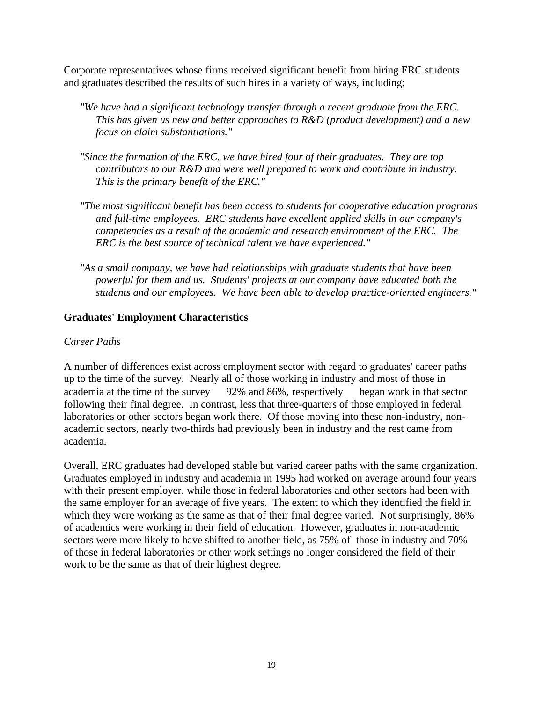Corporate representatives whose firms received significant benefit from hiring ERC students and graduates described the results of such hires in a variety of ways, including:

- *"We have had a significant technology transfer through a recent graduate from the ERC. This has given us new and better approaches to R&D (product development) and a new focus on claim substantiations."*
- *"Since the formation of the ERC, we have hired four of their graduates. They are top contributors to our R&D and were well prepared to work and contribute in industry. This is the primary benefit of the ERC."*
- *"The most significant benefit has been access to students for cooperative education programs and full-time employees. ERC students have excellent applied skills in our company's competencies as a result of the academic and research environment of the ERC. The ERC is the best source of technical talent we have experienced."*
- *"As a small company, we have had relationships with graduate students that have been powerful for them and us. Students' projects at our company have educated both the students and our employees. We have been able to develop practice-oriented engineers."*

#### **Graduates' Employment Characteristics**

#### *Career Paths*

A number of differences exist across employment sector with regard to graduates' career paths up to the time of the survey. Nearly all of those working in industry and most of those in academia at the time of the survey  $-92\%$  and 86%, respectively  $-$  began work in that sector following their final degree. In contrast, less that three-quarters of those employed in federal laboratories or other sectors began work there. Of those moving into these non-industry, nonacademic sectors, nearly two-thirds had previously been in industry and the rest came from academia.

Overall, ERC graduates had developed stable but varied career paths with the same organization. Graduates employed in industry and academia in 1995 had worked on average around four years with their present employer, while those in federal laboratories and other sectors had been with the same employer for an average of five years. The extent to which they identified the field in which they were working as the same as that of their final degree varied. Not surprisingly, 86% of academics were working in their field of education. However, graduates in non-academic sectors were more likely to have shifted to another field, as 75% of those in industry and 70% of those in federal laboratories or other work settings no longer considered the field of their work to be the same as that of their highest degree.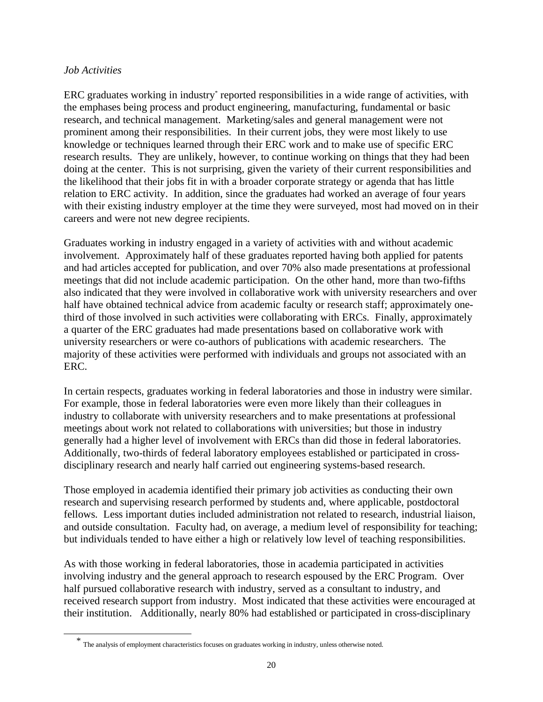#### *Job Activities*

 $\overline{a}$ 

ERC graduates working in industry<sup>\*</sup> reported responsibilities in a wide range of activities, with the emphases being process and product engineering, manufacturing, fundamental or basic research, and technical management. Marketing/sales and general management were not prominent among their responsibilities. In their current jobs, they were most likely to use knowledge or techniques learned through their ERC work and to make use of specific ERC research results. They are unlikely, however, to continue working on things that they had been doing at the center. This is not surprising, given the variety of their current responsibilities and the likelihood that their jobs fit in with a broader corporate strategy or agenda that has little relation to ERC activity. In addition, since the graduates had worked an average of four years with their existing industry employer at the time they were surveyed, most had moved on in their careers and were not new degree recipients.

Graduates working in industry engaged in a variety of activities with and without academic involvement. Approximately half of these graduates reported having both applied for patents and had articles accepted for publication, and over 70% also made presentations at professional meetings that did not include academic participation. On the other hand, more than two-fifths also indicated that they were involved in collaborative work with university researchers and over half have obtained technical advice from academic faculty or research staff; approximately onethird of those involved in such activities were collaborating with ERCs. Finally, approximately a quarter of the ERC graduates had made presentations based on collaborative work with university researchers or were co-authors of publications with academic researchers. The majority of these activities were performed with individuals and groups not associated with an ERC.

In certain respects, graduates working in federal laboratories and those in industry were similar. For example, those in federal laboratories were even more likely than their colleagues in industry to collaborate with university researchers and to make presentations at professional meetings about work not related to collaborations with universities; but those in industry generally had a higher level of involvement with ERCs than did those in federal laboratories. Additionally, two-thirds of federal laboratory employees established or participated in crossdisciplinary research and nearly half carried out engineering systems-based research.

Those employed in academia identified their primary job activities as conducting their own research and supervising research performed by students and, where applicable, postdoctoral fellows. Less important duties included administration not related to research, industrial liaison, and outside consultation. Faculty had, on average, a medium level of responsibility for teaching; but individuals tended to have either a high or relatively low level of teaching responsibilities.

As with those working in federal laboratories, those in academia participated in activities involving industry and the general approach to research espoused by the ERC Program. Over half pursued collaborative research with industry, served as a consultant to industry, and received research support from industry. Most indicated that these activities were encouraged at their institution. Additionally, nearly 80% had established or participated in cross-disciplinary

\* The analysis of employment characteristics focuses on graduates working in industry, unless otherwise noted.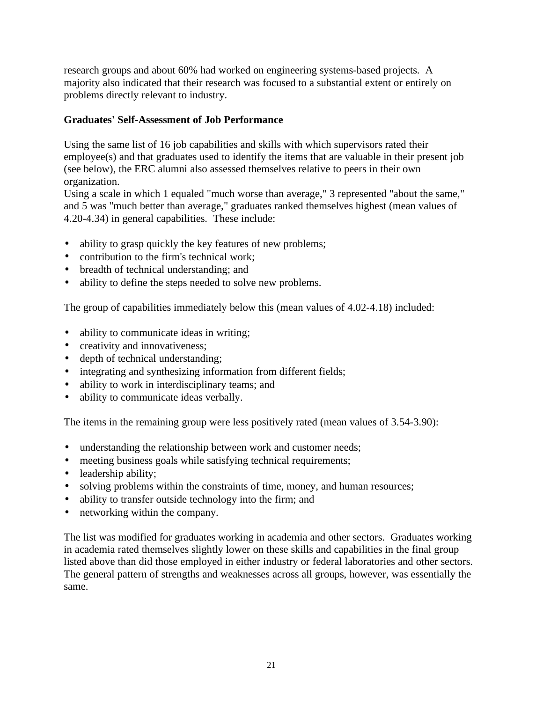research groups and about 60% had worked on engineering systems-based projects. A majority also indicated that their research was focused to a substantial extent or entirely on problems directly relevant to industry.

#### **Graduates' Self-Assessment of Job Performance**

Using the same list of 16 job capabilities and skills with which supervisors rated their employee(s) and that graduates used to identify the items that are valuable in their present job (see below), the ERC alumni also assessed themselves relative to peers in their own organization.

Using a scale in which 1 equaled "much worse than average," 3 represented "about the same," and 5 was "much better than average," graduates ranked themselves highest (mean values of 4.20-4.34) in general capabilities. These include:

- ability to grasp quickly the key features of new problems;
- contribution to the firm's technical work;
- breadth of technical understanding; and
- ability to define the steps needed to solve new problems.

The group of capabilities immediately below this (mean values of 4.02-4.18) included:

- ability to communicate ideas in writing;
- creativity and innovativeness;
- depth of technical understanding;
- integrating and synthesizing information from different fields;
- ability to work in interdisciplinary teams; and
- ability to communicate ideas verbally.

The items in the remaining group were less positively rated (mean values of 3.54-3.90):

- understanding the relationship between work and customer needs;
- meeting business goals while satisfying technical requirements;
- leadership ability;
- solving problems within the constraints of time, money, and human resources;
- ability to transfer outside technology into the firm; and
- networking within the company.

The list was modified for graduates working in academia and other sectors. Graduates working in academia rated themselves slightly lower on these skills and capabilities in the final group listed above than did those employed in either industry or federal laboratories and other sectors. The general pattern of strengths and weaknesses across all groups, however, was essentially the same.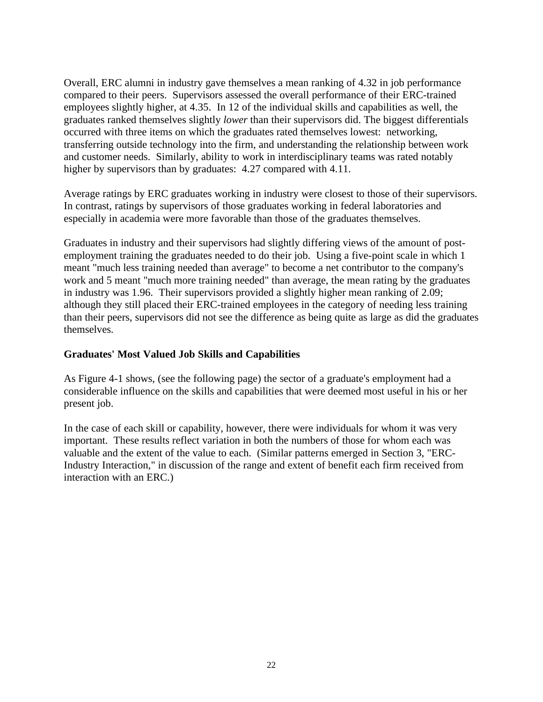Overall, ERC alumni in industry gave themselves a mean ranking of 4.32 in job performance compared to their peers. Supervisors assessed the overall performance of their ERC-trained employees slightly higher, at 4.35. In 12 of the individual skills and capabilities as well, the graduates ranked themselves slightly *lower* than their supervisors did. The biggest differentials occurred with three items on which the graduates rated themselves lowest: networking, transferring outside technology into the firm, and understanding the relationship between work and customer needs. Similarly, ability to work in interdisciplinary teams was rated notably higher by supervisors than by graduates: 4.27 compared with 4.11.

Average ratings by ERC graduates working in industry were closest to those of their supervisors. In contrast, ratings by supervisors of those graduates working in federal laboratories and especially in academia were more favorable than those of the graduates themselves.

Graduates in industry and their supervisors had slightly differing views of the amount of postemployment training the graduates needed to do their job. Using a five-point scale in which 1 meant "much less training needed than average" to become a net contributor to the company's work and 5 meant "much more training needed" than average, the mean rating by the graduates in industry was 1.96. Their supervisors provided a slightly higher mean ranking of 2.09; although they still placed their ERC-trained employees in the category of needing less training than their peers, supervisors did not see the difference as being quite as large as did the graduates themselves.

#### **Graduates' Most Valued Job Skills and Capabilities**

As Figure 4-1 shows, (see the following page) the sector of a graduate's employment had a considerable influence on the skills and capabilities that were deemed most useful in his or her present job.

In the case of each skill or capability, however, there were individuals for whom it was very important. These results reflect variation in both the numbers of those for whom each was valuable and the extent of the value to each. (Similar patterns emerged in Section 3, "ERC-Industry Interaction," in discussion of the range and extent of benefit each firm received from interaction with an ERC.)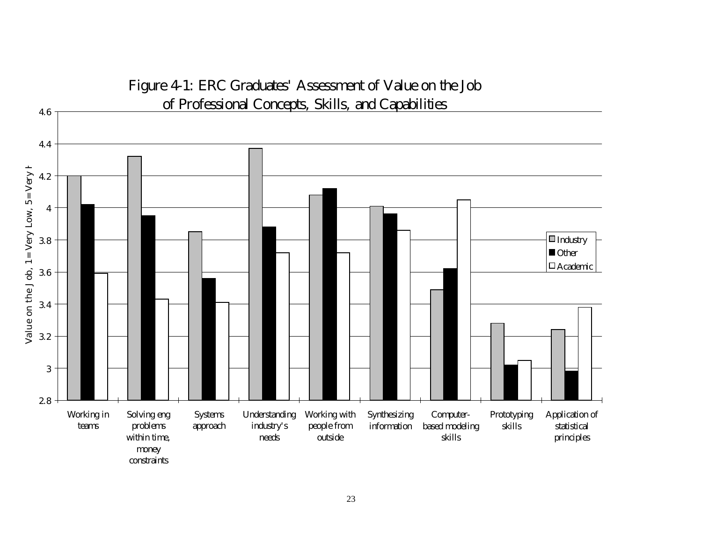

# Figure 4-1: ERC Graduates' Assessment of Value on the Job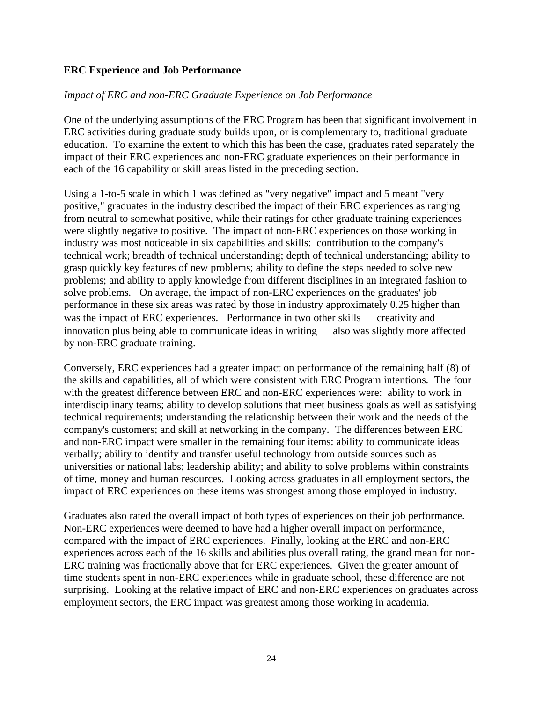#### **ERC Experience and Job Performance**

#### *Impact of ERC and non-ERC Graduate Experience on Job Performance*

One of the underlying assumptions of the ERC Program has been that significant involvement in ERC activities during graduate study builds upon, or is complementary to, traditional graduate education. To examine the extent to which this has been the case, graduates rated separately the impact of their ERC experiences and non-ERC graduate experiences on their performance in each of the 16 capability or skill areas listed in the preceding section.

Using a 1-to-5 scale in which 1 was defined as "very negative" impact and 5 meant "very positive," graduates in the industry described the impact of their ERC experiences as ranging from neutral to somewhat positive, while their ratings for other graduate training experiences were slightly negative to positive. The impact of non-ERC experiences on those working in industry was most noticeable in six capabilities and skills:contribution to the company's technical work; breadth of technical understanding; depth of technical understanding; ability to grasp quickly key features of new problems; ability to define the steps needed to solve new problems; and ability to apply knowledge from different disciplines in an integrated fashion to solve problems. On average, the impact of non-ERC experiences on the graduates' job performance in these six areas was rated by those in industry approximately 0.25 higher than was the impact of ERC experiences. Performance in two other skills  $-$  creativity and innovation plus being able to communicate ideas in writing — also was slightly more affected by non-ERC graduate training.

Conversely, ERC experiences had a greater impact on performance of the remaining half (8) of the skills and capabilities, all of which were consistent with ERC Program intentions. The four with the greatest difference between ERC and non-ERC experiences were: ability to work in interdisciplinary teams; ability to develop solutions that meet business goals as well as satisfying technical requirements; understanding the relationship between their work and the needs of the company's customers; and skill at networking in the company. The differences between ERC and non-ERC impact were smaller in the remaining four items: ability to communicate ideas verbally; ability to identify and transfer useful technology from outside sources such as universities or national labs; leadership ability; and ability to solve problems within constraints of time, money and human resources. Looking across graduates in all employment sectors, the impact of ERC experiences on these items was strongest among those employed in industry.

Graduates also rated the overall impact of both types of experiences on their job performance. Non-ERC experiences were deemed to have had a higher overall impact on performance, compared with the impact of ERC experiences. Finally, looking at the ERC and non-ERC experiences across each of the 16 skills and abilities plus overall rating, the grand mean for non-ERC training was fractionally above that for ERC experiences. Given the greater amount of time students spent in non-ERC experiences while in graduate school, these difference are not surprising. Looking at the relative impact of ERC and non-ERC experiences on graduates across employment sectors, the ERC impact was greatest among those working in academia.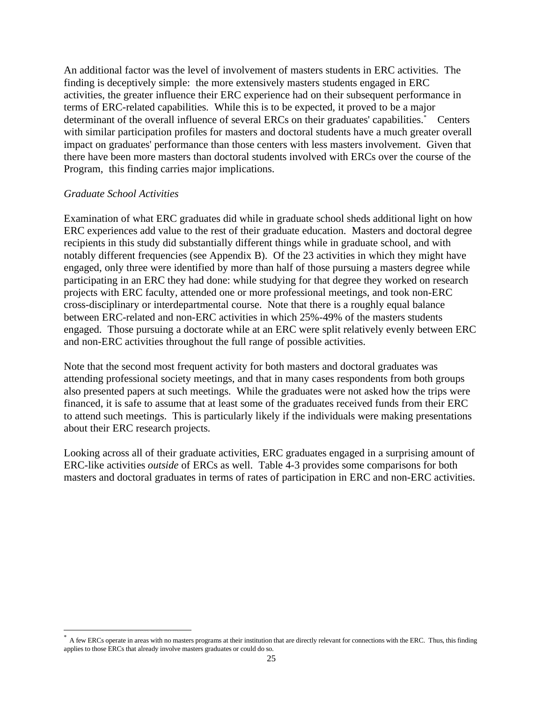An additional factor was the level of involvement of masters students in ERC activities. The finding is deceptively simple: the more extensively masters students engaged in ERC activities, the greater influence their ERC experience had on their subsequent performance in terms of ERC-related capabilities. While this is to be expected, it proved to be a major determinant of the overall influence of several ERCs on their graduates' capabilities.\* Centers with similar participation profiles for masters and doctoral students have a much greater overall impact on graduates' performance than those centers with less masters involvement. Given that there have been more masters than doctoral students involved with ERCs over the course of the Program, this finding carries major implications.

#### *Graduate School Activities*

 $\overline{a}$ 

Examination of what ERC graduates did while in graduate school sheds additional light on how ERC experiences add value to the rest of their graduate education. Masters and doctoral degree recipients in this study did substantially different things while in graduate school, and with notably different frequencies (see Appendix B). Of the 23 activities in which they might have engaged, only three were identified by more than half of those pursuing a masters degree while participating in an ERC they had done: while studying for that degree they worked on research projects with ERC faculty, attended one or more professional meetings, and took non-ERC cross-disciplinary or interdepartmental course. Note that there is a roughly equal balance between ERC-related and non-ERC activities in which 25%-49% of the masters students engaged. Those pursuing a doctorate while at an ERC were split relatively evenly between ERC and non-ERC activities throughout the full range of possible activities.

Note that the second most frequent activity for both masters and doctoral graduates was attending professional society meetings, and that in many cases respondents from both groups also presented papers at such meetings. While the graduates were not asked how the trips were financed, it is safe to assume that at least some of the graduates received funds from their ERC to attend such meetings. This is particularly likely if the individuals were making presentations about their ERC research projects.

Looking across all of their graduate activities, ERC graduates engaged in a surprising amount of ERC-like activities *outside* of ERCs as well. Table 4-3 provides some comparisons for both masters and doctoral graduates in terms of rates of participation in ERC and non-ERC activities.

<sup>\*</sup> A few ERCs operate in areas with no masters programs at their institution that are directly relevant for connections with the ERC. Thus, this finding applies to those ERCs that already involve masters graduates or could do so.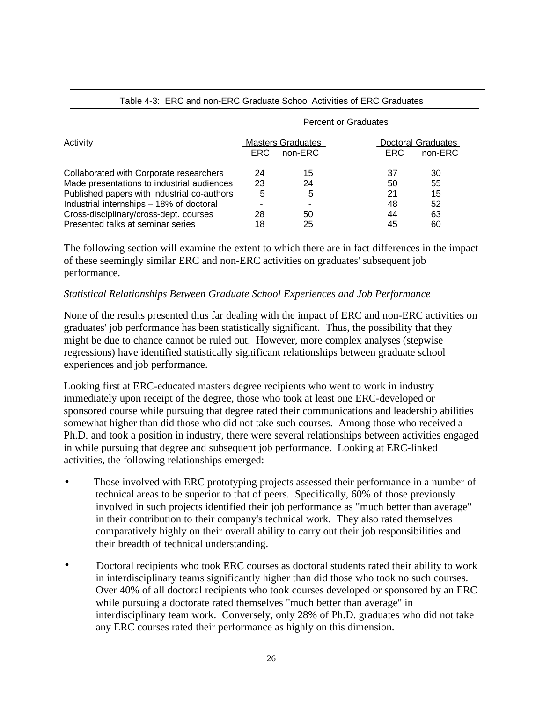|                                             | <b>Percent or Graduates</b> |                                     |            |                               |  |
|---------------------------------------------|-----------------------------|-------------------------------------|------------|-------------------------------|--|
| Activity                                    | ERC.                        | <b>Masters Graduates</b><br>non-ERC | <b>ERC</b> | Doctoral Graduates<br>non-ERC |  |
| Collaborated with Corporate researchers     | 24                          | 15                                  | 37         | 30                            |  |
| Made presentations to industrial audiences  | 23                          | 24                                  | 50         | 55                            |  |
| Published papers with industrial co-authors | 5                           | 5                                   | 21         | 15                            |  |
| Industrial internships - 18% of doctoral    |                             |                                     | 48         | 52                            |  |
| Cross-disciplinary/cross-dept. courses      | 28                          | 50                                  | 44         | 63                            |  |
| Presented talks at seminar series           | 18                          | 25                                  | 45         | 60                            |  |

#### Table 4-3: ERC and non-ERC Graduate School Activities of ERC Graduates

The following section will examine the extent to which there are in fact differences in the impact of these seemingly similar ERC and non-ERC activities on graduates' subsequent job performance.

#### *Statistical Relationships Between Graduate School Experiences and Job Performance*

None of the results presented thus far dealing with the impact of ERC and non-ERC activities on graduates' job performance has been statistically significant. Thus, the possibility that they might be due to chance cannot be ruled out. However, more complex analyses (stepwise regressions) have identified statistically significant relationships between graduate school experiences and job performance.

Looking first at ERC-educated masters degree recipients who went to work in industry immediately upon receipt of the degree, those who took at least one ERC-developed or sponsored course while pursuing that degree rated their communications and leadership abilities somewhat higher than did those who did not take such courses. Among those who received a Ph.D. and took a position in industry, there were several relationships between activities engaged in while pursuing that degree and subsequent job performance. Looking at ERC-linked activities, the following relationships emerged:

- Those involved with ERC prototyping projects assessed their performance in a number of technical areas to be superior to that of peers. Specifically, 60% of those previously involved in such projects identified their job performance as "much better than average" in their contribution to their company's technical work. They also rated themselves comparatively highly on their overall ability to carry out their job responsibilities and their breadth of technical understanding.
- Doctoral recipients who took ERC courses as doctoral students rated their ability to work in interdisciplinary teams significantly higher than did those who took no such courses. Over 40% of all doctoral recipients who took courses developed or sponsored by an ERC while pursuing a doctorate rated themselves "much better than average" in interdisciplinary team work. Conversely, only 28% of Ph.D. graduates who did not take any ERC courses rated their performance as highly on this dimension.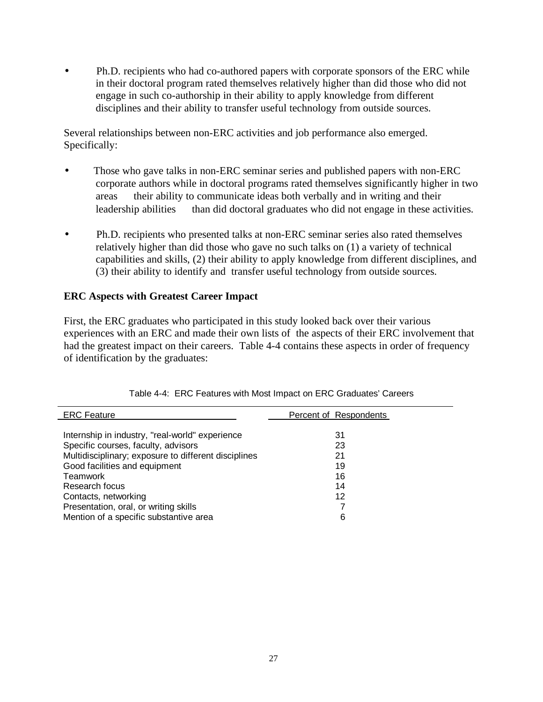• Ph.D. recipients who had co-authored papers with corporate sponsors of the ERC while in their doctoral program rated themselves relatively higher than did those who did not engage in such co-authorship in their ability to apply knowledge from different disciplines and their ability to transfer useful technology from outside sources.

Several relationships between non-ERC activities and job performance also emerged. Specifically:

- Those who gave talks in non-ERC seminar series and published papers with non-ERC corporate authors while in doctoral programs rated themselves significantly higher in two areas — their ability to communicate ideas both verbally and in writing and their leadership abilities — than did doctoral graduates who did not engage in these activities.
- Ph.D. recipients who presented talks at non-ERC seminar series also rated themselves relatively higher than did those who gave no such talks on (1) a variety of technical capabilities and skills, (2) their ability to apply knowledge from different disciplines, and (3) their ability to identify and transfer useful technology from outside sources.

#### **ERC Aspects with Greatest Career Impact**

First, the ERC graduates who participated in this study looked back over their various experiences with an ERC and made their own lists of the aspects of their ERC involvement that had the greatest impact on their careers. Table 4-4 contains these aspects in order of frequency of identification by the graduates:

| <b>ERC</b> Feature                                   | Percent of Respondents |
|------------------------------------------------------|------------------------|
| Internship in industry, "real-world" experience      | 31                     |
| Specific courses, faculty, advisors                  | 23                     |
| Multidisciplinary; exposure to different disciplines | 21                     |
| Good facilities and equipment                        | 19                     |
| Teamwork                                             | 16                     |
| Research focus                                       | 14                     |
| Contacts, networking                                 | 12                     |
| Presentation, oral, or writing skills                |                        |
| Mention of a specific substantive area               | 6                      |

|  |  | Table 4-4: ERC Features with Most Impact on ERC Graduates' Careers |  |
|--|--|--------------------------------------------------------------------|--|
|  |  |                                                                    |  |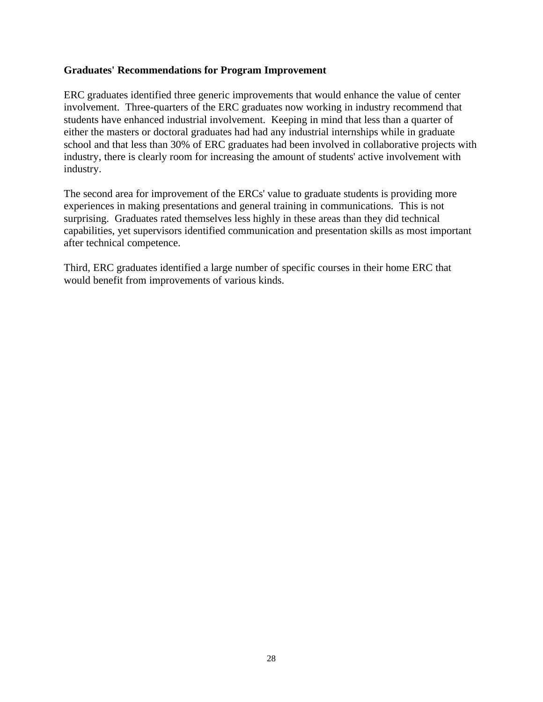#### **Graduates' Recommendations for Program Improvement**

ERC graduates identified three generic improvements that would enhance the value of center involvement. Three-quarters of the ERC graduates now working in industry recommend that students have enhanced industrial involvement. Keeping in mind that less than a quarter of either the masters or doctoral graduates had had any industrial internships while in graduate school and that less than 30% of ERC graduates had been involved in collaborative projects with industry, there is clearly room for increasing the amount of students' active involvement with industry.

The second area for improvement of the ERCs' value to graduate students is providing more experiences in making presentations and general training in communications. This is not surprising. Graduates rated themselves less highly in these areas than they did technical capabilities, yet supervisors identified communication and presentation skills as most important after technical competence.

Third, ERC graduates identified a large number of specific courses in their home ERC that would benefit from improvements of various kinds.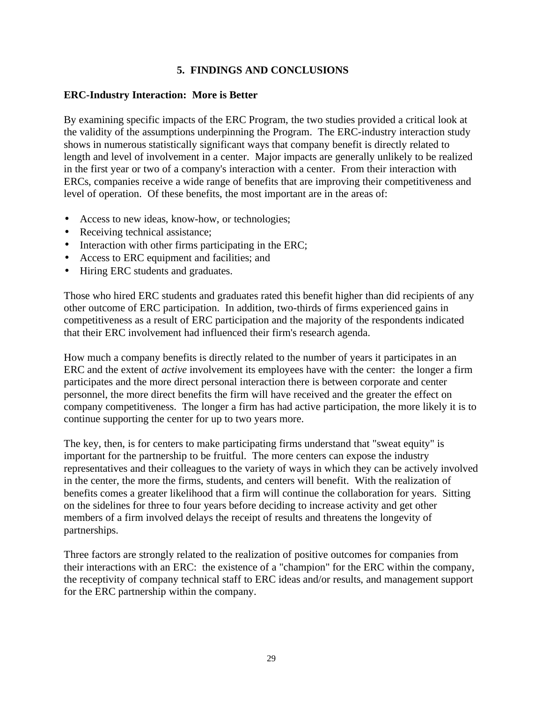#### **5. FINDINGS AND CONCLUSIONS**

#### <span id="page-33-0"></span>**ERC-Industry Interaction: More is Better**

By examining specific impacts of the ERC Program, the two studies provided a critical look at the validity of the assumptions underpinning the Program. The ERC-industry interaction study shows in numerous statistically significant ways that company benefit is directly related to length and level of involvement in a center. Major impacts are generally unlikely to be realized in the first year or two of a company's interaction with a center. From their interaction with ERCs, companies receive a wide range of benefits that are improving their competitiveness and level of operation. Of these benefits, the most important are in the areas of:

- Access to new ideas, know-how, or technologies;
- Receiving technical assistance:
- Interaction with other firms participating in the ERC;
- Access to ERC equipment and facilities; and
- Hiring ERC students and graduates.

Those who hired ERC students and graduates rated this benefit higher than did recipients of any other outcome of ERC participation. In addition, two-thirds of firms experienced gains in competitiveness as a result of ERC participation and the majority of the respondents indicated that their ERC involvement had influenced their firm's research agenda.

How much a company benefits is directly related to the number of years it participates in an ERC and the extent of *active* involvement its employees have with the center: the longer a firm participates and the more direct personal interaction there is between corporate and center personnel, the more direct benefits the firm will have received and the greater the effect on company competitiveness. The longer a firm has had active participation, the more likely it is to continue supporting the center for up to two years more.

The key, then, is for centers to make participating firms understand that "sweat equity" is important for the partnership to be fruitful. The more centers can expose the industry representatives and their colleagues to the variety of ways in which they can be actively involved in the center, the more the firms, students, and centers will benefit. With the realization of benefits comes a greater likelihood that a firm will continue the collaboration for years. Sitting on the sidelines for three to four years before deciding to increase activity and get other members of a firm involved delays the receipt of results and threatens the longevity of partnerships.

Three factors are strongly related to the realization of positive outcomes for companies from their interactions with an ERC: the existence of a "champion" for the ERC within the company, the receptivity of company technical staff to ERC ideas and/or results, and management support for the ERC partnership within the company.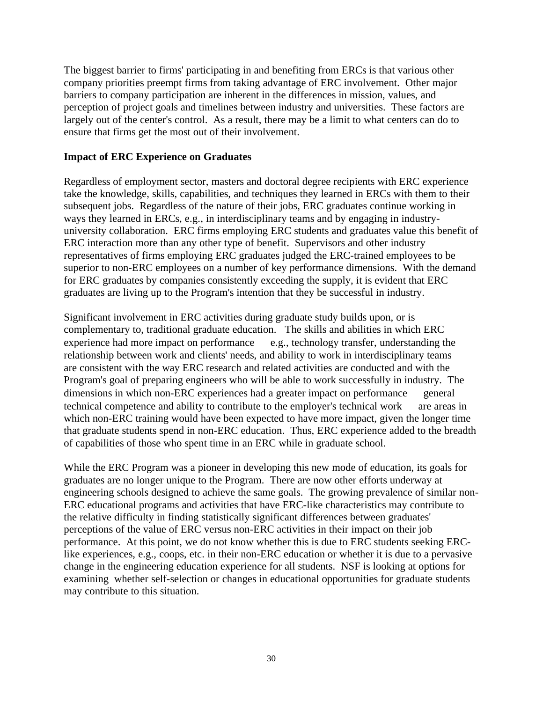The biggest barrier to firms' participating in and benefiting from ERCs is that various other company priorities preempt firms from taking advantage of ERC involvement. Other major barriers to company participation are inherent in the differences in mission, values, and perception of project goals and timelines between industry and universities. These factors are largely out of the center's control. As a result, there may be a limit to what centers can do to ensure that firms get the most out of their involvement.

#### **Impact of ERC Experience on Graduates**

Regardless of employment sector, masters and doctoral degree recipients with ERC experience take the knowledge, skills, capabilities, and techniques they learned in ERCs with them to their subsequent jobs. Regardless of the nature of their jobs, ERC graduates continue working in ways they learned in ERCs, e.g., in interdisciplinary teams and by engaging in industryuniversity collaboration. ERC firms employing ERC students and graduates value this benefit of ERC interaction more than any other type of benefit. Supervisors and other industry representatives of firms employing ERC graduates judged the ERC-trained employees to be superior to non-ERC employees on a number of key performance dimensions. With the demand for ERC graduates by companies consistently exceeding the supply, it is evident that ERC graduates are living up to the Program's intention that they be successful in industry.

Significant involvement in ERC activities during graduate study builds upon, or is complementary to, traditional graduate education. The skills and abilities in which ERC experience had more impact on performance  $-$  e.g., technology transfer, understanding the relationship between work and clients' needs, and ability to work in interdisciplinary teams are consistent with the way ERC research and related activities are conducted and with the Program's goal of preparing engineers who will be able to work successfully in industry. The dimensions in which non-ERC experiences had a greater impact on performance — general technical competence and ability to contribute to the employer's technical work — are areas in which non-ERC training would have been expected to have more impact, given the longer time that graduate students spend in non-ERC education. Thus, ERC experience added to the breadth of capabilities of those who spent time in an ERC while in graduate school.

While the ERC Program was a pioneer in developing this new mode of education, its goals for graduates are no longer unique to the Program. There are now other efforts underway at engineering schools designed to achieve the same goals. The growing prevalence of similar non-ERC educational programs and activities that have ERC-like characteristics may contribute to the relative difficulty in finding statistically significant differences between graduates' perceptions of the value of ERC versus non-ERC activities in their impact on their job performance. At this point, we do not know whether this is due to ERC students seeking ERClike experiences, e.g., coops, etc. in their non-ERC education or whether it is due to a pervasive change in the engineering education experience for all students. NSF is looking at options for examining whether self-selection or changes in educational opportunities for graduate students may contribute to this situation.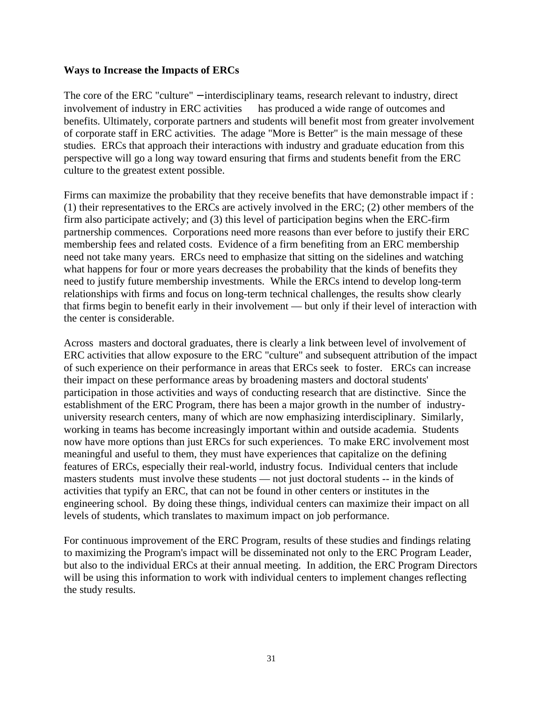#### **Ways to Increase the Impacts of ERCs**

The core of the ERC "culture" – interdisciplinary teams, research relevant to industry, direct involvement of industry in ERC activities — has produced a wide range of outcomes and benefits. Ultimately, corporate partners and students will benefit most from greater involvement of corporate staff in ERC activities. The adage "More is Better" is the main message of these studies. ERCs that approach their interactions with industry and graduate education from this perspective will go a long way toward ensuring that firms and students benefit from the ERC culture to the greatest extent possible.

Firms can maximize the probability that they receive benefits that have demonstrable impact if : (1) their representatives to the ERCs are actively involved in the ERC; (2) other members of the firm also participate actively; and (3) this level of participation begins when the ERC-firm partnership commences. Corporations need more reasons than ever before to justify their ERC membership fees and related costs. Evidence of a firm benefiting from an ERC membership need not take many years. ERCs need to emphasize that sitting on the sidelines and watching what happens for four or more years decreases the probability that the kinds of benefits they need to justify future membership investments. While the ERCs intend to develop long-term relationships with firms and focus on long-term technical challenges, the results show clearly that firms begin to benefit early in their involvement — but only if their level of interaction with the center is considerable.

Across masters and doctoral graduates, there is clearly a link between level of involvement of ERC activities that allow exposure to the ERC "culture" and subsequent attribution of the impact of such experience on their performance in areas that ERCs seek to foster. ERCs can increase their impact on these performance areas by broadening masters and doctoral students' participation in those activities and ways of conducting research that are distinctive. Since the establishment of the ERC Program, there has been a major growth in the number of industryuniversity research centers, many of which are now emphasizing interdisciplinary. Similarly, working in teams has become increasingly important within and outside academia. Students now have more options than just ERCs for such experiences. To make ERC involvement most meaningful and useful to them, they must have experiences that capitalize on the defining features of ERCs, especially their real-world, industry focus. Individual centers that include masters students must involve these students — not just doctoral students -- in the kinds of activities that typify an ERC, that can not be found in other centers or institutes in the engineering school. By doing these things, individual centers can maximize their impact on all levels of students, which translates to maximum impact on job performance.

For continuous improvement of the ERC Program, results of these studies and findings relating to maximizing the Program's impact will be disseminated not only to the ERC Program Leader, but also to the individual ERCs at their annual meeting. In addition, the ERC Program Directors will be using this information to work with individual centers to implement changes reflecting the study results.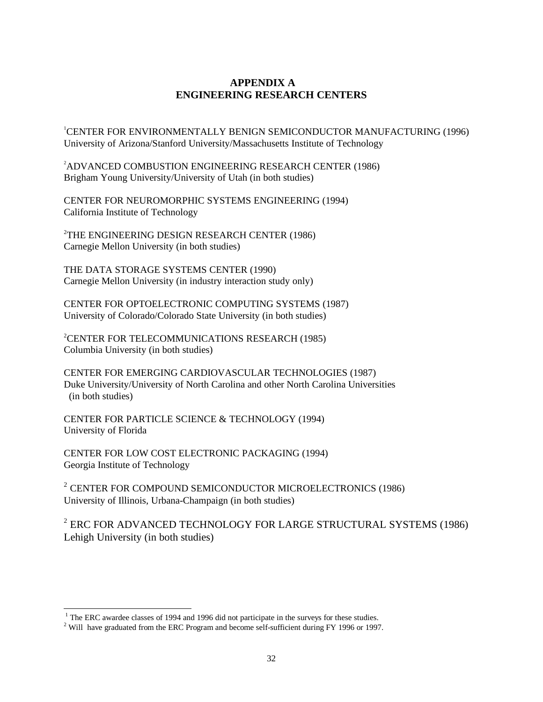#### **APPENDIX A ENGINEERING RESEARCH CENTERS**

<span id="page-36-0"></span>1 CENTER FOR ENVIRONMENTALLY BENIGN SEMICONDUCTOR MANUFACTURING (1996) University of Arizona/Stanford University/Massachusetts Institute of Technology

2 ADVANCED COMBUSTION ENGINEERING RESEARCH CENTER (1986) Brigham Young University/University of Utah (in both studies)

CENTER FOR NEUROMORPHIC SYSTEMS ENGINEERING (1994) California Institute of Technology

2 THE ENGINEERING DESIGN RESEARCH CENTER (1986) Carnegie Mellon University (in both studies)

THE DATA STORAGE SYSTEMS CENTER (1990) Carnegie Mellon University (in industry interaction study only)

CENTER FOR OPTOELECTRONIC COMPUTING SYSTEMS (1987) University of Colorado/Colorado State University (in both studies)

2 CENTER FOR TELECOMMUNICATIONS RESEARCH (1985) Columbia University (in both studies)

CENTER FOR EMERGING CARDIOVASCULAR TECHNOLOGIES (1987) Duke University/University of North Carolina and other North Carolina Universities (in both studies)

CENTER FOR PARTICLE SCIENCE & TECHNOLOGY (1994) University of Florida

CENTER FOR LOW COST ELECTRONIC PACKAGING (1994) Georgia Institute of Technology

<sup>2</sup> CENTER FOR COMPOUND SEMICONDUCTOR MICROELECTRONICS (1986) University of Illinois, Urbana-Champaign (in both studies)

 $^2$  ERC FOR ADVANCED TECHNOLOGY FOR LARGE STRUCTURAL SYSTEMS (1986) Lehigh University (in both studies)

<sup>&</sup>lt;sup>1</sup> The ERC awardee classes of 1994 and 1996 did not participate in the surveys for these studies.

 $2$  Will have graduated from the ERC Program and become self-sufficient during FY 1996 or 1997.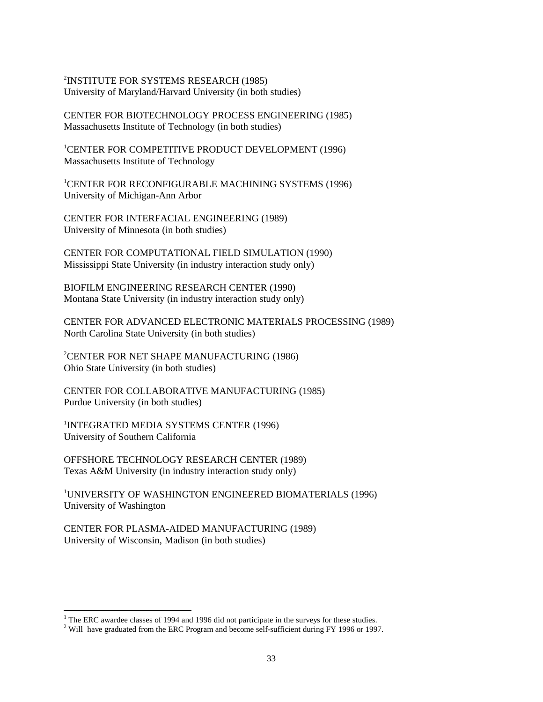2 INSTITUTE FOR SYSTEMS RESEARCH (1985) University of Maryland/Harvard University (in both studies)

CENTER FOR BIOTECHNOLOGY PROCESS ENGINEERING (1985) Massachusetts Institute of Technology (in both studies)

1 CENTER FOR COMPETITIVE PRODUCT DEVELOPMENT (1996) Massachusetts Institute of Technology

1 CENTER FOR RECONFIGURABLE MACHINING SYSTEMS (1996) University of Michigan-Ann Arbor

CENTER FOR INTERFACIAL ENGINEERING (1989) University of Minnesota (in both studies)

CENTER FOR COMPUTATIONAL FIELD SIMULATION (1990) Mississippi State University (in industry interaction study only)

BIOFILM ENGINEERING RESEARCH CENTER (1990) Montana State University (in industry interaction study only)

CENTER FOR ADVANCED ELECTRONIC MATERIALS PROCESSING (1989) North Carolina State University (in both studies)

2 CENTER FOR NET SHAPE MANUFACTURING (1986) Ohio State University (in both studies)

CENTER FOR COLLABORATIVE MANUFACTURING (1985) Purdue University (in both studies)

1 INTEGRATED MEDIA SYSTEMS CENTER (1996) University of Southern California

OFFSHORE TECHNOLOGY RESEARCH CENTER (1989) Texas A&M University (in industry interaction study only)

1 UNIVERSITY OF WASHINGTON ENGINEERED BIOMATERIALS (1996) University of Washington

CENTER FOR PLASMA-AIDED MANUFACTURING (1989) University of Wisconsin, Madison (in both studies)

<sup>&</sup>lt;sup>1</sup> The ERC awardee classes of 1994 and 1996 did not participate in the surveys for these studies.

 $2$  Will have graduated from the ERC Program and become self-sufficient during FY 1996 or 1997.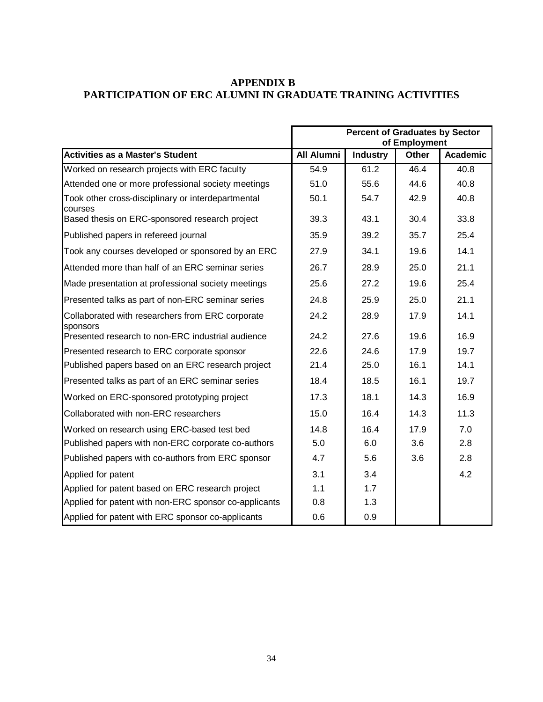#### <span id="page-38-0"></span>**APPENDIX B PARTICIPATION OF ERC ALUMNI IN GRADUATE TRAINING ACTIVITIES**

|                                                               | <b>Percent of Graduates by Sector</b> |                 |              |                 |  |
|---------------------------------------------------------------|---------------------------------------|-----------------|--------------|-----------------|--|
|                                                               | of Employment                         |                 |              |                 |  |
| Activities as a Master's Student                              | <b>All Alumni</b>                     | <b>Industry</b> | <b>Other</b> | <b>Academic</b> |  |
| Worked on research projects with ERC faculty                  | 54.9                                  | 61.2            | 46.4         | 40.8            |  |
| Attended one or more professional society meetings            | 51.0                                  | 55.6            | 44.6         | 40.8            |  |
| Took other cross-disciplinary or interdepartmental<br>courses | 50.1                                  | 54.7            | 42.9         | 40.8            |  |
| Based thesis on ERC-sponsored research project                | 39.3                                  | 43.1            | 30.4         | 33.8            |  |
| Published papers in refereed journal                          | 35.9                                  | 39.2            | 35.7         | 25.4            |  |
| Took any courses developed or sponsored by an ERC             | 27.9                                  | 34.1            | 19.6         | 14.1            |  |
| Attended more than half of an ERC seminar series              | 26.7                                  | 28.9            | 25.0         | 21.1            |  |
| Made presentation at professional society meetings            | 25.6                                  | 27.2            | 19.6         | 25.4            |  |
| Presented talks as part of non-ERC seminar series             | 24.8                                  | 25.9            | 25.0         | 21.1            |  |
| Collaborated with researchers from ERC corporate<br>sponsors  | 24.2                                  | 28.9            | 17.9         | 14.1            |  |
| Presented research to non-ERC industrial audience             | 24.2                                  | 27.6            | 19.6         | 16.9            |  |
| Presented research to ERC corporate sponsor                   | 22.6                                  | 24.6            | 17.9         | 19.7            |  |
| Published papers based on an ERC research project             | 21.4                                  | 25.0            | 16.1         | 14.1            |  |
| Presented talks as part of an ERC seminar series              | 18.4                                  | 18.5            | 16.1         | 19.7            |  |
| Worked on ERC-sponsored prototyping project                   | 17.3                                  | 18.1            | 14.3         | 16.9            |  |
| Collaborated with non-ERC researchers                         | 15.0                                  | 16.4            | 14.3         | 11.3            |  |
| Worked on research using ERC-based test bed                   | 14.8                                  | 16.4            | 17.9         | 7.0             |  |
| Published papers with non-ERC corporate co-authors            | 5.0                                   | 6.0             | 3.6          | 2.8             |  |
| Published papers with co-authors from ERC sponsor             | 4.7                                   | 5.6             | 3.6          | 2.8             |  |
| Applied for patent                                            | 3.1                                   | 3.4             |              | 4.2             |  |
| Applied for patent based on ERC research project              | 1.1                                   | 1.7             |              |                 |  |
| Applied for patent with non-ERC sponsor co-applicants         | 0.8                                   | 1.3             |              |                 |  |
| Applied for patent with ERC sponsor co-applicants             | 0.6                                   | 0.9             |              |                 |  |